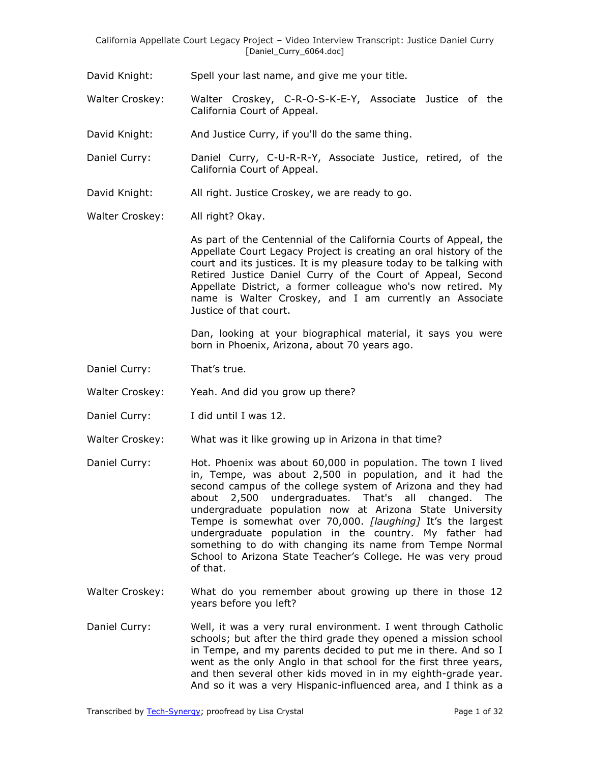California Appellate Court Legacy Project – Video Interview Transcript: Justice Daniel Curry [Daniel\_Curry\_6064.doc]

David Knight: Spell your last name, and give me your title.

Walter Croskey: Walter Croskey, C-R-O-S-K-E-Y, Associate Justice of the California Court of Appeal.

David Knight: And Justice Curry, if you'll do the same thing.

- Daniel Curry: Daniel Curry, C-U-R-R-Y, Associate Justice, retired, of the California Court of Appeal.
- David Knight: All right. Justice Croskey, we are ready to go.

Walter Croskey: All right? Okay.

As part of the Centennial of the California Courts of Appeal, the Appellate Court Legacy Project is creating an oral history of the court and its justices. It is my pleasure today to be talking with Retired Justice Daniel Curry of the Court of Appeal, Second Appellate District, a former colleague who's now retired. My name is Walter Croskey, and I am currently an Associate Justice of that court.

Dan, looking at your biographical material, it says you were born in Phoenix, Arizona, about 70 years ago.

- Daniel Curry: That's true.
- Walter Croskey: Yeah. And did you grow up there?
- Daniel Curry: I did until I was 12.
- Walter Croskey: What was it like growing up in Arizona in that time?
- Daniel Curry: Hot. Phoenix was about 60,000 in population. The town I lived in, Tempe, was about 2,500 in population, and it had the second campus of the college system of Arizona and they had about 2,500 undergraduates. That's all changed. The undergraduate population now at Arizona State University Tempe is somewhat over 70,000. *[laughing]* It's the largest undergraduate population in the country. My father had something to do with changing its name from Tempe Normal School to Arizona State Teacher's College. He was very proud of that.
- Walter Croskey: What do you remember about growing up there in those 12 years before you left?
- Daniel Curry: Well, it was a very rural environment. I went through Catholic schools; but after the third grade they opened a mission school in Tempe, and my parents decided to put me in there. And so I went as the only Anglo in that school for the first three years, and then several other kids moved in in my eighth-grade year. And so it was a very Hispanic-influenced area, and I think as a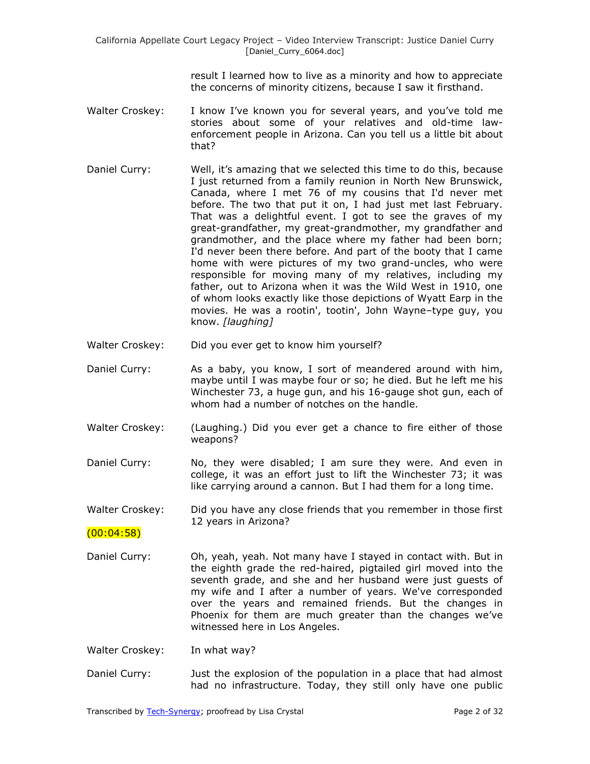result I learned how to live as a minority and how to appreciate the concerns of minority citizens, because I saw it firsthand.

- Walter Croskey: I know I've known you for several years, and you've told me stories about some of your relatives and old-time lawenforcement people in Arizona. Can you tell us a little bit about that?
- Daniel Curry: Well, it's amazing that we selected this time to do this, because I just returned from a family reunion in North New Brunswick, Canada, where I met 76 of my cousins that I'd never met before. The two that put it on, I had just met last February. That was a delightful event. I got to see the graves of my great-grandfather, my great-grandmother, my grandfather and grandmother, and the place where my father had been born; I'd never been there before. And part of the booty that I came home with were pictures of my two grand-uncles, who were responsible for moving many of my relatives, including my father, out to Arizona when it was the Wild West in 1910, one of whom looks exactly like those depictions of Wyatt Earp in the movies. He was a rootin', tootin', John Wayne–type guy, you know. *[laughing]*
- Walter Croskey: Did you ever get to know him yourself?
- Daniel Curry: As a baby, you know, I sort of meandered around with him, maybe until I was maybe four or so; he died. But he left me his Winchester 73, a huge gun, and his 16-gauge shot gun, each of whom had a number of notches on the handle.
- Walter Croskey: (Laughing.) Did you ever get a chance to fire either of those weapons?
- Daniel Curry: No, they were disabled; I am sure they were. And even in college, it was an effort just to lift the Winchester 73; it was like carrying around a cannon. But I had them for a long time.
- Walter Croskey: Did you have any close friends that you remember in those first 12 years in Arizona?

 $(00:04:58)$ 

Daniel Curry: Oh, yeah, yeah. Not many have I stayed in contact with. But in the eighth grade the red-haired, pigtailed girl moved into the seventh grade, and she and her husband were just guests of my wife and I after a number of years. We've corresponded over the years and remained friends. But the changes in Phoenix for them are much greater than the changes we've witnessed here in Los Angeles.

Walter Croskey: In what way?

Daniel Curry: Just the explosion of the population in a place that had almost had no infrastructure. Today, they still only have one public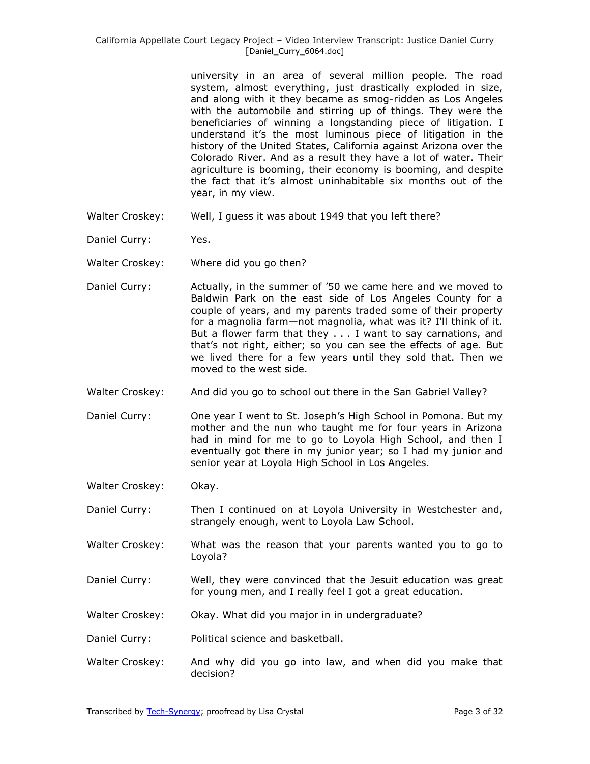university in an area of several million people. The road system, almost everything, just drastically exploded in size, and along with it they became as smog-ridden as Los Angeles with the automobile and stirring up of things. They were the beneficiaries of winning a longstanding piece of litigation. I understand it's the most luminous piece of litigation in the history of the United States, California against Arizona over the Colorado River. And as a result they have a lot of water. Their agriculture is booming, their economy is booming, and despite the fact that it's almost uninhabitable six months out of the year, in my view.

- Walter Croskey: Well, I guess it was about 1949 that you left there?
- Daniel Curry: Yes.
- Walter Croskey: Where did you go then?
- Daniel Curry: Actually, in the summer of '50 we came here and we moved to Baldwin Park on the east side of Los Angeles County for a couple of years, and my parents traded some of their property for a magnolia farm—not magnolia, what was it? I'll think of it. But a flower farm that they . . . I want to say carnations, and that's not right, either; so you can see the effects of age. But we lived there for a few years until they sold that. Then we moved to the west side.
- Walter Croskey: And did you go to school out there in the San Gabriel Valley?
- Daniel Curry: One year I went to St. Joseph's High School in Pomona. But my mother and the nun who taught me for four years in Arizona had in mind for me to go to Loyola High School, and then I eventually got there in my junior year; so I had my junior and senior year at Loyola High School in Los Angeles.
- Walter Croskey: Okay.
- Daniel Curry: Then I continued on at Loyola University in Westchester and, strangely enough, went to Loyola Law School.
- Walter Croskey: What was the reason that your parents wanted you to go to Loyola?
- Daniel Curry: Well, they were convinced that the Jesuit education was great for young men, and I really feel I got a great education.
- Walter Croskey: Okay. What did you major in in undergraduate?
- Daniel Curry: Political science and basketball.
- Walter Croskey: And why did you go into law, and when did you make that decision?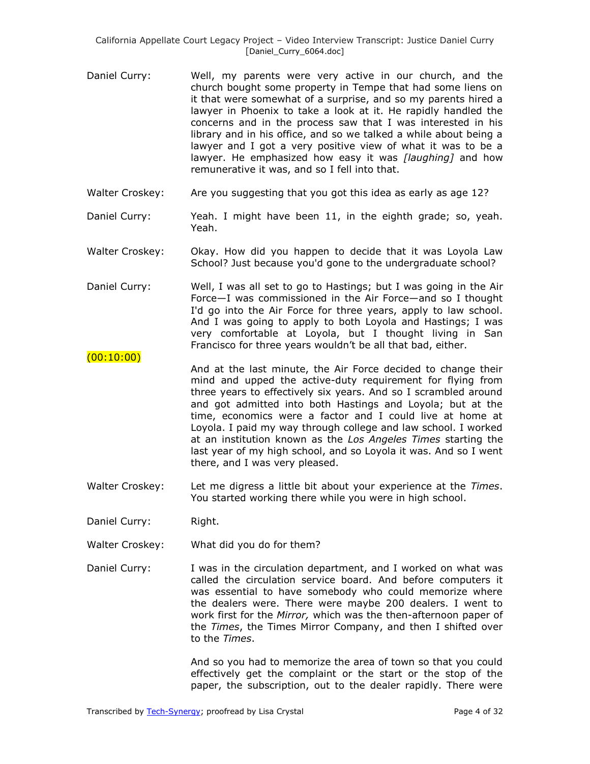- Daniel Curry: Well, my parents were very active in our church, and the church bought some property in Tempe that had some liens on it that were somewhat of a surprise, and so my parents hired a lawyer in Phoenix to take a look at it. He rapidly handled the concerns and in the process saw that I was interested in his library and in his office, and so we talked a while about being a lawyer and I got a very positive view of what it was to be a lawyer. He emphasized how easy it was *[laughing]* and how remunerative it was, and so I fell into that.
- Walter Croskey: Are you suggesting that you got this idea as early as age 12?
- Daniel Curry: Yeah. I might have been 11, in the eighth grade; so, yeah. Yeah.
- Walter Croskey: Okay. How did you happen to decide that it was Loyola Law School? Just because you'd gone to the undergraduate school?
- Daniel Curry: Well, I was all set to go to Hastings; but I was going in the Air Force—I was commissioned in the Air Force—and so I thought I'd go into the Air Force for three years, apply to law school. And I was going to apply to both Loyola and Hastings; I was very comfortable at Loyola, but I thought living in San Francisco for three years wouldn't be all that bad, either.
- And at the last minute, the Air Force decided to change their mind and upped the active-duty requirement for flying from three years to effectively six years. And so I scrambled around and got admitted into both Hastings and Loyola; but at the time, economics were a factor and I could live at home at Loyola. I paid my way through college and law school. I worked at an institution known as the *Los Angeles Times* starting the last year of my high school, and so Loyola it was. And so I went there, and I was very pleased.
- Walter Croskey: Let me digress a little bit about your experience at the *Times*. You started working there while you were in high school.
- Daniel Curry: Right.

 $(00:10:00)$ 

- Walter Croskey: What did you do for them?
- Daniel Curry: I was in the circulation department, and I worked on what was called the circulation service board. And before computers it was essential to have somebody who could memorize where the dealers were. There were maybe 200 dealers. I went to work first for the *Mirror,* which was the then-afternoon paper of the *Times*, the Times Mirror Company, and then I shifted over to the *Times*.

And so you had to memorize the area of town so that you could effectively get the complaint or the start or the stop of the paper, the subscription, out to the dealer rapidly. There were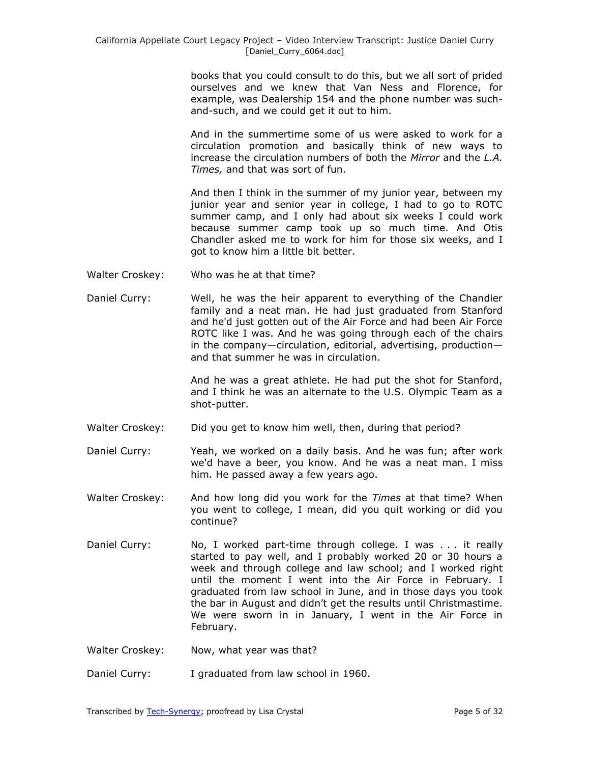books that you could consult to do this, but we all sort of prided ourselves and we knew that Van Ness and Florence, for example, was Dealership 154 and the phone number was suchand-such, and we could get it out to him.

And in the summertime some of us were asked to work for a circulation promotion and basically think of new ways to increase the circulation numbers of both the *Mirror* and the *L.A. Times,* and that was sort of fun.

And then I think in the summer of my junior year, between my junior year and senior year in college, I had to go to ROTC summer camp, and I only had about six weeks I could work because summer camp took up so much time. And Otis Chandler asked me to work for him for those six weeks, and I got to know him a little bit better.

- Walter Croskey: Who was he at that time?
- Daniel Curry: Well, he was the heir apparent to everything of the Chandler family and a neat man. He had just graduated from Stanford and he'd just gotten out of the Air Force and had been Air Force ROTC like I was. And he was going through each of the chairs in the company—circulation, editorial, advertising, production and that summer he was in circulation.

And he was a great athlete. He had put the shot for Stanford, and I think he was an alternate to the U.S. Olympic Team as a shot-putter.

Walter Croskey: Did you get to know him well, then, during that period?

Daniel Curry: Yeah, we worked on a daily basis. And he was fun; after work we'd have a beer, you know. And he was a neat man. I miss him. He passed away a few years ago.

- Walter Croskey: And how long did you work for the *Times* at that time? When you went to college, I mean, did you quit working or did you continue?
- Daniel Curry: No, I worked part-time through college. I was ... it really started to pay well, and I probably worked 20 or 30 hours a week and through college and law school; and I worked right until the moment I went into the Air Force in February. I graduated from law school in June, and in those days you took the bar in August and didn't get the results until Christmastime. We were sworn in in January, I went in the Air Force in February.
- Walter Croskey: Now, what year was that?
- Daniel Curry: I graduated from law school in 1960.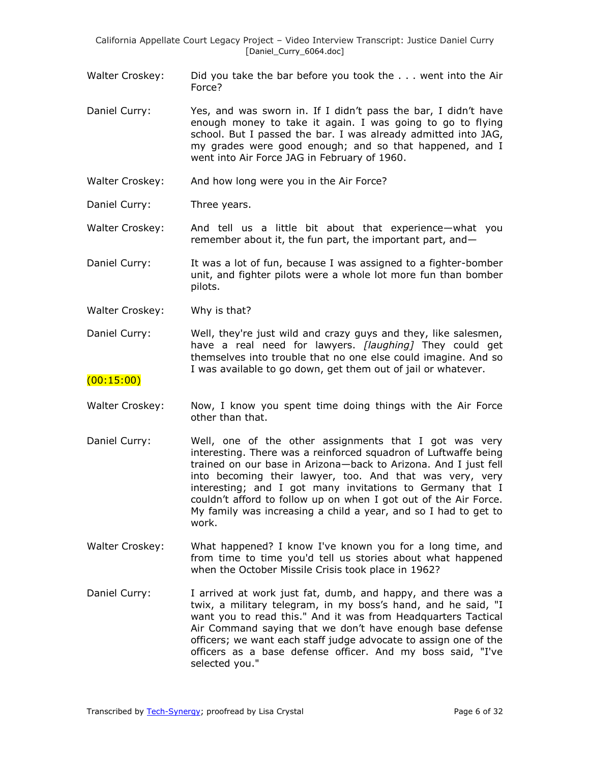California Appellate Court Legacy Project – Video Interview Transcript: Justice Daniel Curry [Daniel\_Curry\_6064.doc]

Walter Croskey: Did you take the bar before you took the ... went into the Air Force?

- Daniel Curry: Yes, and was sworn in. If I didn't pass the bar, I didn't have enough money to take it again. I was going to go to flying school. But I passed the bar. I was already admitted into JAG, my grades were good enough; and so that happened, and I went into Air Force JAG in February of 1960.
- Walter Croskey: And how long were you in the Air Force?
- Daniel Curry: Three years.

Walter Croskey: And tell us a little bit about that experience—what you remember about it, the fun part, the important part, and—

Daniel Curry: It was a lot of fun, because I was assigned to a fighter-bomber unit, and fighter pilots were a whole lot more fun than bomber pilots.

Walter Croskey: Why is that?

Daniel Curry: Well, they're just wild and crazy guys and they, like salesmen, have a real need for lawyers. *[laughing]* They could get themselves into trouble that no one else could imagine. And so I was available to go down, get them out of jail or whatever.

#### (00:15:00)

- Walter Croskey: Now, I know you spent time doing things with the Air Force other than that.
- Daniel Curry: Well, one of the other assignments that I got was very interesting. There was a reinforced squadron of Luftwaffe being trained on our base in Arizona—back to Arizona. And I just fell into becoming their lawyer, too. And that was very, very interesting; and I got many invitations to Germany that I couldn't afford to follow up on when I got out of the Air Force. My family was increasing a child a year, and so I had to get to work.
- Walter Croskey: What happened? I know I've known you for a long time, and from time to time you'd tell us stories about what happened when the October Missile Crisis took place in 1962?
- Daniel Curry: I arrived at work just fat, dumb, and happy, and there was a twix, a military telegram, in my boss's hand, and he said, "I want you to read this." And it was from Headquarters Tactical Air Command saying that we don't have enough base defense officers; we want each staff judge advocate to assign one of the officers as a base defense officer. And my boss said, "I've selected you."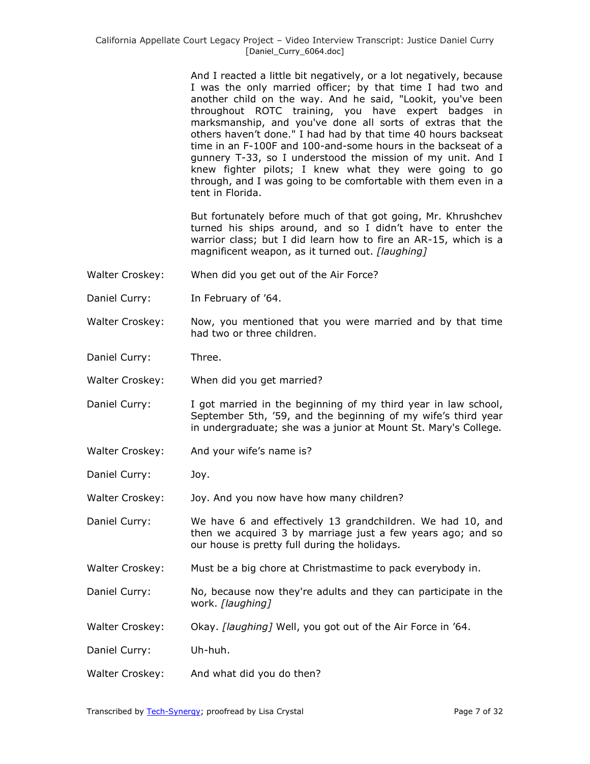And I reacted a little bit negatively, or a lot negatively, because I was the only married officer; by that time I had two and another child on the way. And he said, "Lookit, you've been throughout ROTC training, you have expert badges in marksmanship, and you've done all sorts of extras that the others haven't done." I had had by that time 40 hours backseat time in an F-100F and 100-and-some hours in the backseat of a gunnery T-33, so I understood the mission of my unit. And I knew fighter pilots; I knew what they were going to go through, and I was going to be comfortable with them even in a tent in Florida.

But fortunately before much of that got going, Mr. Khrushchev turned his ships around, and so I didn't have to enter the warrior class; but I did learn how to fire an AR-15, which is a magnificent weapon, as it turned out. *[laughing]*

- Walter Croskey: When did you get out of the Air Force?
- Daniel Curry: In February of '64.
- Walter Croskey: Now, you mentioned that you were married and by that time had two or three children.
- Daniel Curry: Three.
- Walter Croskey: When did you get married?
- Daniel Curry: I got married in the beginning of my third year in law school, September 5th, '59, and the beginning of my wife's third year in undergraduate; she was a junior at Mount St. Mary's College*.*
- Walter Croskey: And your wife's name is?
- Daniel Curry: Joy.

Walter Croskey: Joy. And you now have how many children?

- Daniel Curry: We have 6 and effectively 13 grandchildren. We had 10, and then we acquired 3 by marriage just a few years ago; and so our house is pretty full during the holidays.
- Walter Croskey: Must be a big chore at Christmastime to pack everybody in.
- Daniel Curry: No, because now they're adults and they can participate in the work. *[laughing]*
- Walter Croskey: Okay. *[laughing]* Well, you got out of the Air Force in '64.
- Daniel Curry: Uh-huh.
- Walter Croskey: And what did you do then?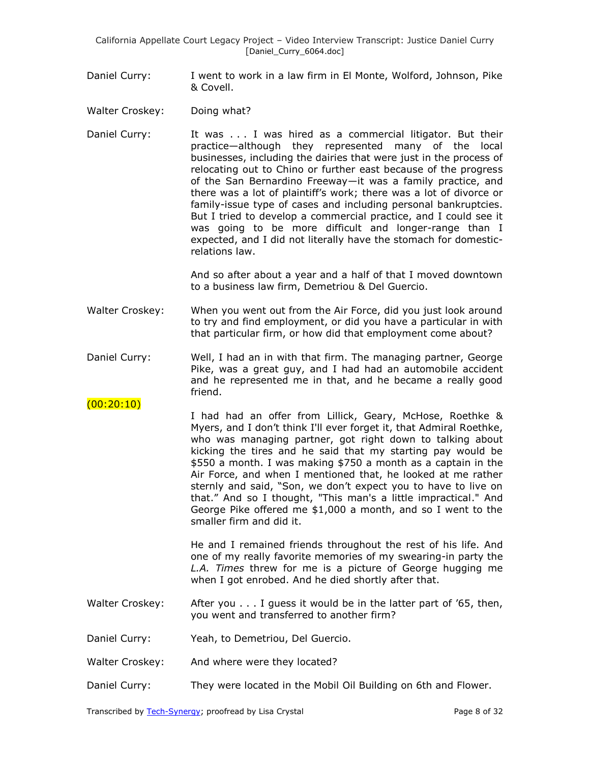California Appellate Court Legacy Project – Video Interview Transcript: Justice Daniel Curry [Daniel\_Curry\_6064.doc]

Daniel Curry: I went to work in a law firm in El Monte, Wolford, Johnson, Pike & Covell.

Walter Croskey: Doing what?

 $(00:20:10)$ 

Daniel Curry: It was . . . I was hired as a commercial litigator. But their practice—although they represented many of the local businesses, including the dairies that were just in the process of relocating out to Chino or further east because of the progress of the San Bernardino Freeway—it was a family practice, and there was a lot of plaintiff's work; there was a lot of divorce or family-issue type of cases and including personal bankruptcies. But I tried to develop a commercial practice, and I could see it was going to be more difficult and longer-range than I expected, and I did not literally have the stomach for domesticrelations law.

> And so after about a year and a half of that I moved downtown to a business law firm, Demetriou & Del Guercio.

- Walter Croskey: When you went out from the Air Force, did you just look around to try and find employment, or did you have a particular in with that particular firm, or how did that employment come about?
- Daniel Curry: Well, I had an in with that firm. The managing partner, George Pike, was a great guy, and I had had an automobile accident and he represented me in that, and he became a really good friend.
	- I had had an offer from Lillick, Geary, McHose, Roethke & Myers, and I don't think I'll ever forget it, that Admiral Roethke, who was managing partner, got right down to talking about kicking the tires and he said that my starting pay would be \$550 a month. I was making \$750 a month as a captain in the Air Force, and when I mentioned that, he looked at me rather sternly and said, "Son, we don't expect you to have to live on that." And so I thought, "This man's a little impractical." And George Pike offered me \$1,000 a month, and so I went to the smaller firm and did it.

He and I remained friends throughout the rest of his life. And one of my really favorite memories of my swearing-in party the *L.A. Times* threw for me is a picture of George hugging me when I got enrobed. And he died shortly after that.

- Walter Croskey: After you  $\dots$  I guess it would be in the latter part of '65, then, you went and transferred to another firm?
- Daniel Curry: Yeah, to Demetriou, Del Guercio.
- Walter Croskey: And where were they located?
- Daniel Curry: They were located in the Mobil Oil Building on 6th and Flower.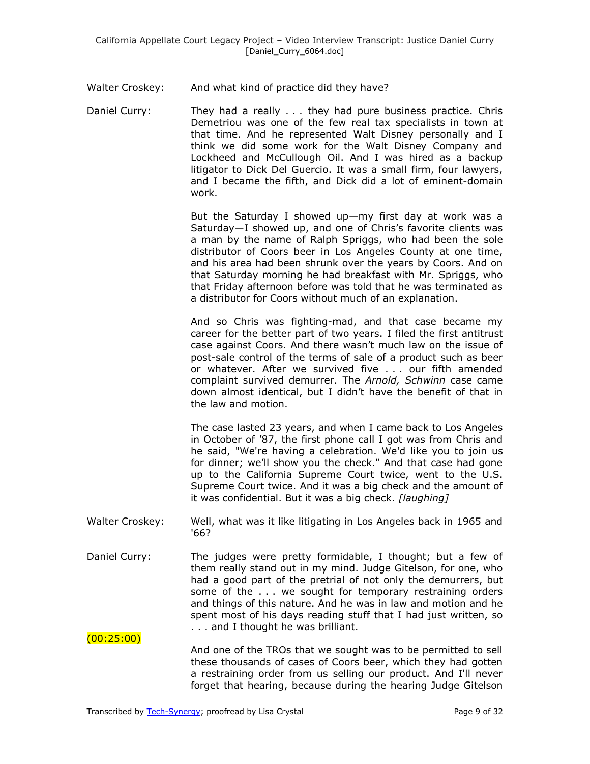Walter Croskey: And what kind of practice did they have?

Daniel Curry: They had a really . . . they had pure business practice. Chris Demetriou was one of the few real tax specialists in town at that time. And he represented Walt Disney personally and I think we did some work for the Walt Disney Company and Lockheed and McCullough Oil. And I was hired as a backup litigator to Dick Del Guercio. It was a small firm, four lawyers, and I became the fifth, and Dick did a lot of eminent-domain work.

> But the Saturday I showed up—my first day at work was a Saturday—I showed up, and one of Chris's favorite clients was a man by the name of Ralph Spriggs, who had been the sole distributor of Coors beer in Los Angeles County at one time, and his area had been shrunk over the years by Coors. And on that Saturday morning he had breakfast with Mr. Spriggs, who that Friday afternoon before was told that he was terminated as a distributor for Coors without much of an explanation.

> And so Chris was fighting-mad, and that case became my career for the better part of two years. I filed the first antitrust case against Coors. And there wasn't much law on the issue of post-sale control of the terms of sale of a product such as beer or whatever. After we survived five . . . our fifth amended complaint survived demurrer. The *Arnold, Schwinn* case came down almost identical, but I didn't have the benefit of that in the law and motion.

> The case lasted 23 years, and when I came back to Los Angeles in October of '87, the first phone call I got was from Chris and he said, "We're having a celebration. We'd like you to join us for dinner; we'll show you the check." And that case had gone up to the California Supreme Court twice, went to the U.S. Supreme Court twice. And it was a big check and the amount of it was confidential. But it was a big check. *[laughing]*

- Walter Croskey: Well, what was it like litigating in Los Angeles back in 1965 and '66?
- Daniel Curry: The judges were pretty formidable, I thought; but a few of them really stand out in my mind. Judge Gitelson, for one, who had a good part of the pretrial of not only the demurrers, but some of the ... we sought for temporary restraining orders and things of this nature. And he was in law and motion and he spent most of his days reading stuff that I had just written, so . . . and I thought he was brilliant.

And one of the TROs that we sought was to be permitted to sell these thousands of cases of Coors beer, which they had gotten a restraining order from us selling our product. And I'll never forget that hearing, because during the hearing Judge Gitelson

 $(00:25:00)$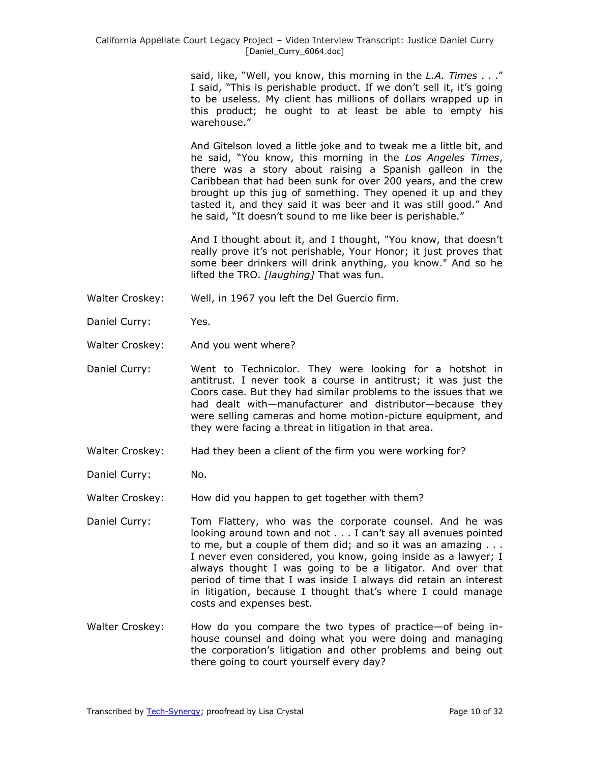said, like, "Well, you know, this morning in the *L.A. Times* . . ." I said, "This is perishable product. If we don't sell it, it's going to be useless. My client has millions of dollars wrapped up in this product; he ought to at least be able to empty his warehouse."

And Gitelson loved a little joke and to tweak me a little bit, and he said, ―You know, this morning in the *Los Angeles Times*, there was a story about raising a Spanish galleon in the Caribbean that had been sunk for over 200 years, and the crew brought up this jug of something. They opened it up and they tasted it, and they said it was beer and it was still good." And he said, "It doesn't sound to me like beer is perishable."

And I thought about it, and I thought, "You know, that doesn't really prove it's not perishable, Your Honor; it just proves that some beer drinkers will drink anything, you know." And so he lifted the TRO. *[laughing]* That was fun.

- Walter Croskey: Well, in 1967 you left the Del Guercio firm.
- Daniel Curry: Yes.
- Walter Croskey: And you went where?
- Daniel Curry: Went to Technicolor. They were looking for a hotshot in antitrust. I never took a course in antitrust; it was just the Coors case. But they had similar problems to the issues that we had dealt with—manufacturer and distributor—because they were selling cameras and home motion-picture equipment, and they were facing a threat in litigation in that area.
- Walter Croskey: Had they been a client of the firm you were working for?
- Daniel Curry: No.

Walter Croskey: How did you happen to get together with them?

- Daniel Curry: Tom Flattery, who was the corporate counsel. And he was looking around town and not . . . I can't say all avenues pointed to me, but a couple of them did; and so it was an amazing . . . I never even considered, you know, going inside as a lawyer; I always thought I was going to be a litigator. And over that period of time that I was inside I always did retain an interest in litigation, because I thought that's where I could manage costs and expenses best.
- Walter Croskey: How do you compare the two types of practice—of being inhouse counsel and doing what you were doing and managing the corporation's litigation and other problems and being out there going to court yourself every day?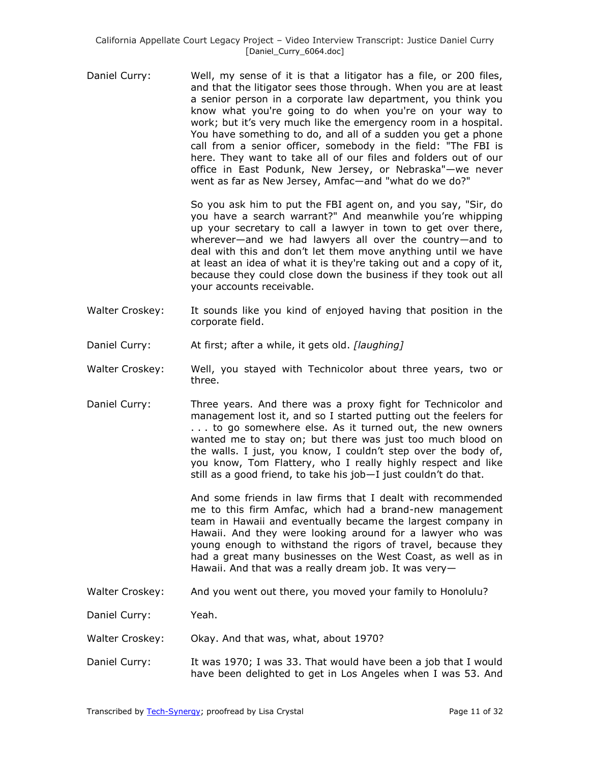Daniel Curry: Well, my sense of it is that a litigator has a file, or 200 files, and that the litigator sees those through. When you are at least a senior person in a corporate law department, you think you know what you're going to do when you're on your way to work; but it's very much like the emergency room in a hospital. You have something to do, and all of a sudden you get a phone call from a senior officer, somebody in the field: "The FBI is here. They want to take all of our files and folders out of our office in East Podunk, New Jersey, or Nebraska"—we never went as far as New Jersey, Amfac—and "what do we do?"

> So you ask him to put the FBI agent on, and you say, "Sir, do you have a search warrant?" And meanwhile you're whipping up your secretary to call a lawyer in town to get over there, wherever—and we had lawyers all over the country—and to deal with this and don't let them move anything until we have at least an idea of what it is they're taking out and a copy of it, because they could close down the business if they took out all your accounts receivable.

- Walter Croskey: It sounds like you kind of enjoyed having that position in the corporate field.
- Daniel Curry: At first; after a while, it gets old. *[laughing]*
- Walter Croskey: Well, you stayed with Technicolor about three years, two or three.
- Daniel Curry: Three years. And there was a proxy fight for Technicolor and management lost it, and so I started putting out the feelers for . . . to go somewhere else. As it turned out, the new owners wanted me to stay on; but there was just too much blood on the walls. I just, you know, I couldn't step over the body of, you know, Tom Flattery, who I really highly respect and like still as a good friend, to take his job—I just couldn't do that.

And some friends in law firms that I dealt with recommended me to this firm Amfac, which had a brand-new management team in Hawaii and eventually became the largest company in Hawaii. And they were looking around for a lawyer who was young enough to withstand the rigors of travel, because they had a great many businesses on the West Coast, as well as in Hawaii. And that was a really dream job. It was very—

Walter Croskey: And you went out there, you moved your family to Honolulu?

Daniel Curry: Yeah.

- Walter Croskey: Okay. And that was, what, about 1970?
- Daniel Curry: It was 1970; I was 33. That would have been a job that I would have been delighted to get in Los Angeles when I was 53. And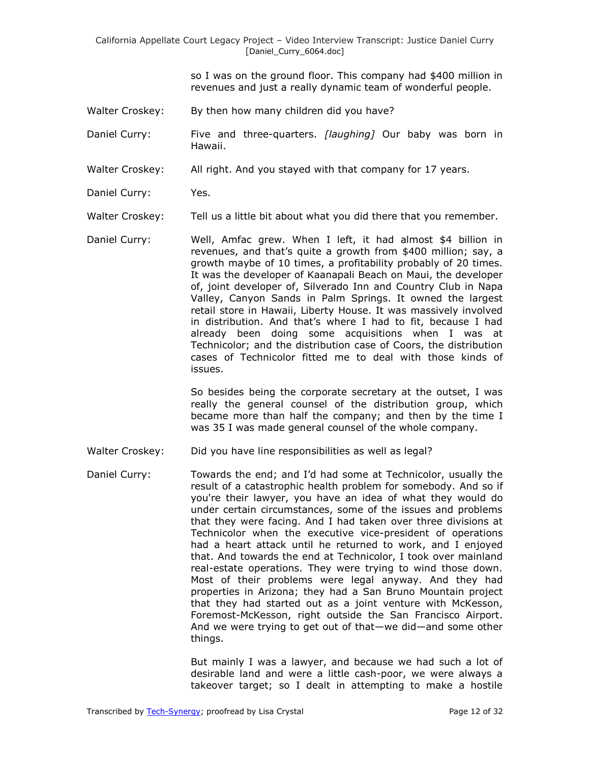California Appellate Court Legacy Project – Video Interview Transcript: Justice Daniel Curry [Daniel\_Curry\_6064.doc]

> so I was on the ground floor. This company had \$400 million in revenues and just a really dynamic team of wonderful people.

- Walter Croskey: By then how many children did you have?
- Daniel Curry: Five and three-quarters. *[laughing]* Our baby was born in Hawaii.
- Walter Croskey: All right. And you stayed with that company for 17 years.
- Daniel Curry: Yes.
- Walter Croskey: Tell us a little bit about what you did there that you remember.
- Daniel Curry: Well, Amfac grew. When I left, it had almost \$4 billion in revenues, and that's quite a growth from \$400 million; say, a growth maybe of 10 times, a profitability probably of 20 times. It was the developer of Kaanapali Beach on Maui, the developer of, joint developer of, Silverado Inn and Country Club in Napa Valley, Canyon Sands in Palm Springs. It owned the largest retail store in Hawaii, Liberty House. It was massively involved in distribution. And that's where I had to fit, because I had already been doing some acquisitions when I was at Technicolor; and the distribution case of Coors, the distribution cases of Technicolor fitted me to deal with those kinds of issues.

So besides being the corporate secretary at the outset, I was really the general counsel of the distribution group, which became more than half the company; and then by the time I was 35 I was made general counsel of the whole company.

- Walter Croskey: Did you have line responsibilities as well as legal?
- Daniel Curry: Towards the end; and I'd had some at Technicolor, usually the result of a catastrophic health problem for somebody. And so if you're their lawyer, you have an idea of what they would do under certain circumstances, some of the issues and problems that they were facing. And I had taken over three divisions at Technicolor when the executive vice-president of operations had a heart attack until he returned to work, and I enjoyed that. And towards the end at Technicolor, I took over mainland real-estate operations. They were trying to wind those down. Most of their problems were legal anyway. And they had properties in Arizona; they had a San Bruno Mountain project that they had started out as a joint venture with McKesson, Foremost-McKesson, right outside the San Francisco Airport. And we were trying to get out of that—we did—and some other things.

But mainly I was a lawyer, and because we had such a lot of desirable land and were a little cash-poor, we were always a takeover target; so I dealt in attempting to make a hostile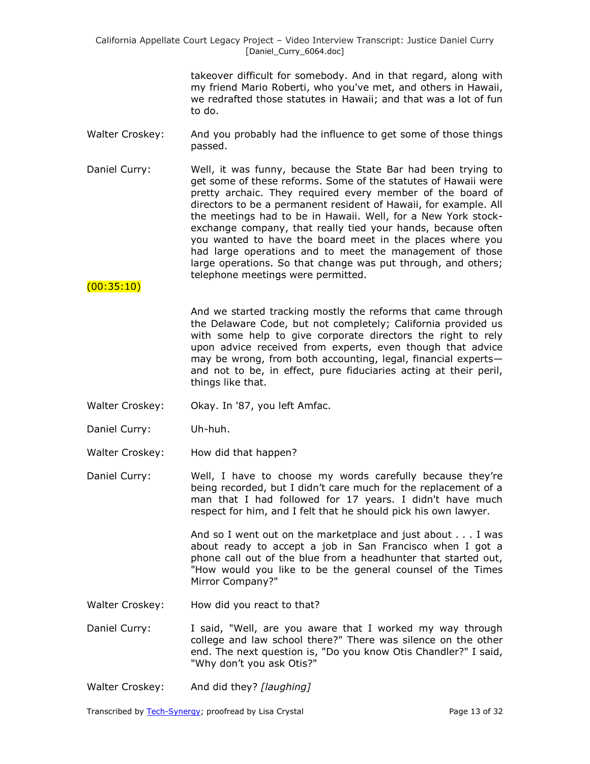takeover difficult for somebody. And in that regard, along with my friend Mario Roberti, who you've met, and others in Hawaii, we redrafted those statutes in Hawaii; and that was a lot of fun to do.

- Walter Croskey: And you probably had the influence to get some of those things passed.
- Daniel Curry: Well, it was funny, because the State Bar had been trying to get some of these reforms. Some of the statutes of Hawaii were pretty archaic. They required every member of the board of directors to be a permanent resident of Hawaii, for example. All the meetings had to be in Hawaii. Well, for a New York stockexchange company, that really tied your hands, because often you wanted to have the board meet in the places where you had large operations and to meet the management of those large operations. So that change was put through, and others; telephone meetings were permitted.

### $(00:35:10)$

And we started tracking mostly the reforms that came through the Delaware Code, but not completely; California provided us with some help to give corporate directors the right to rely upon advice received from experts, even though that advice may be wrong, from both accounting, legal, financial experts and not to be, in effect, pure fiduciaries acting at their peril, things like that.

- Walter Croskey: Okay. In '87, you left Amfac.
- Daniel Curry: Uh-huh.
- Walter Croskey: How did that happen?
- Daniel Curry: Well, I have to choose my words carefully because they're being recorded, but I didn't care much for the replacement of a man that I had followed for 17 years. I didn't have much respect for him, and I felt that he should pick his own lawyer.

And so I went out on the marketplace and just about . . . I was about ready to accept a job in San Francisco when I got a phone call out of the blue from a headhunter that started out, "How would you like to be the general counsel of the Times Mirror Company?"

- Walter Croskey: How did you react to that?
- Daniel Curry: I said, "Well, are you aware that I worked my way through college and law school there?" There was silence on the other end. The next question is, "Do you know Otis Chandler?" I said, "Why don't you ask Otis?"
- Walter Croskey: And did they? *[laughing]*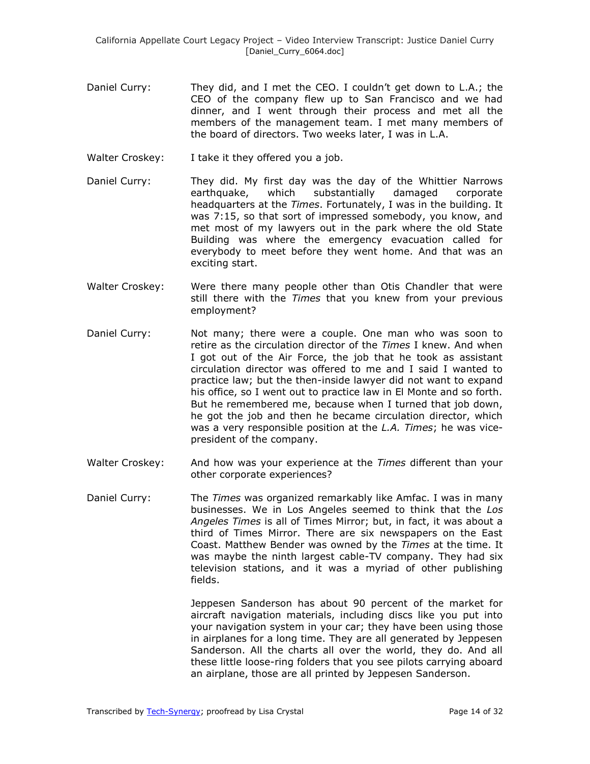- Daniel Curry: They did, and I met the CEO. I couldn't get down to L.A.; the CEO of the company flew up to San Francisco and we had dinner, and I went through their process and met all the members of the management team. I met many members of the board of directors. Two weeks later, I was in L.A.
- Walter Croskey: I take it they offered you a job.
- Daniel Curry: They did. My first day was the day of the Whittier Narrows earthquake, which substantially damaged corporate headquarters at the *Times*. Fortunately, I was in the building. It was 7:15, so that sort of impressed somebody, you know, and met most of my lawyers out in the park where the old State Building was where the emergency evacuation called for everybody to meet before they went home. And that was an exciting start.
- Walter Croskey: Were there many people other than Otis Chandler that were still there with the *Times* that you knew from your previous employment?
- Daniel Curry: Not many; there were a couple. One man who was soon to retire as the circulation director of the *Times* I knew. And when I got out of the Air Force, the job that he took as assistant circulation director was offered to me and I said I wanted to practice law; but the then-inside lawyer did not want to expand his office, so I went out to practice law in El Monte and so forth. But he remembered me, because when I turned that job down, he got the job and then he became circulation director, which was a very responsible position at the *L.A. Times*; he was vicepresident of the company.
- Walter Croskey: And how was your experience at the *Times* different than your other corporate experiences?
- Daniel Curry: The *Times* was organized remarkably like Amfac. I was in many businesses. We in Los Angeles seemed to think that the *Los Angeles Times* is all of Times Mirror; but, in fact, it was about a third of Times Mirror. There are six newspapers on the East Coast. Matthew Bender was owned by the *Times* at the time. It was maybe the ninth largest cable-TV company. They had six television stations, and it was a myriad of other publishing fields.

Jeppesen Sanderson has about 90 percent of the market for aircraft navigation materials, including discs like you put into your navigation system in your car; they have been using those in airplanes for a long time. They are all generated by Jeppesen Sanderson. All the charts all over the world, they do. And all these little loose-ring folders that you see pilots carrying aboard an airplane, those are all printed by Jeppesen Sanderson.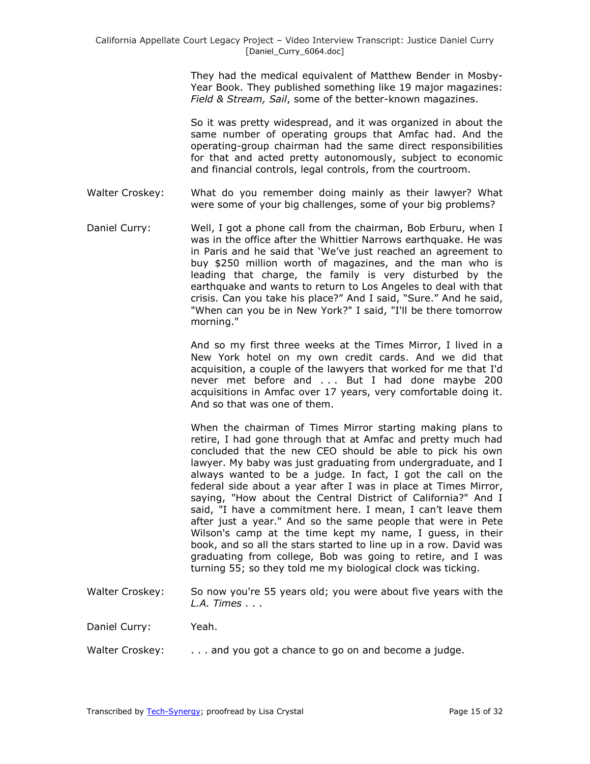They had the medical equivalent of Matthew Bender in Mosby-Year Book. They published something like 19 major magazines: *Field & Stream, Sail*, some of the better-known magazines.

So it was pretty widespread, and it was organized in about the same number of operating groups that Amfac had. And the operating-group chairman had the same direct responsibilities for that and acted pretty autonomously, subject to economic and financial controls, legal controls, from the courtroom.

- Walter Croskey: What do you remember doing mainly as their lawyer? What were some of your big challenges, some of your big problems?
- Daniel Curry: Well, I got a phone call from the chairman, Bob Erburu, when I was in the office after the Whittier Narrows earthquake. He was in Paris and he said that ‗We've just reached an agreement to buy \$250 million worth of magazines, and the man who is leading that charge, the family is very disturbed by the earthquake and wants to return to Los Angeles to deal with that crisis. Can you take his place?" And I said, "Sure." And he said, "When can you be in New York?" I said, "I'll be there tomorrow morning."

And so my first three weeks at the Times Mirror, I lived in a New York hotel on my own credit cards. And we did that acquisition, a couple of the lawyers that worked for me that I'd never met before and . . . But I had done maybe 200 acquisitions in Amfac over 17 years, very comfortable doing it. And so that was one of them.

When the chairman of Times Mirror starting making plans to retire, I had gone through that at Amfac and pretty much had concluded that the new CEO should be able to pick his own lawyer. My baby was just graduating from undergraduate, and I always wanted to be a judge. In fact, I got the call on the federal side about a year after I was in place at Times Mirror, saying, "How about the Central District of California?" And I said, "I have a commitment here. I mean, I can't leave them after just a year." And so the same people that were in Pete Wilson's camp at the time kept my name, I guess, in their book, and so all the stars started to line up in a row. David was graduating from college, Bob was going to retire, and I was turning 55; so they told me my biological clock was ticking.

Walter Croskey: So now you're 55 years old; you were about five years with the *L.A. Times* . . .

Daniel Curry: Yeah.

Walter Croskey: . . . . and you got a chance to go on and become a judge.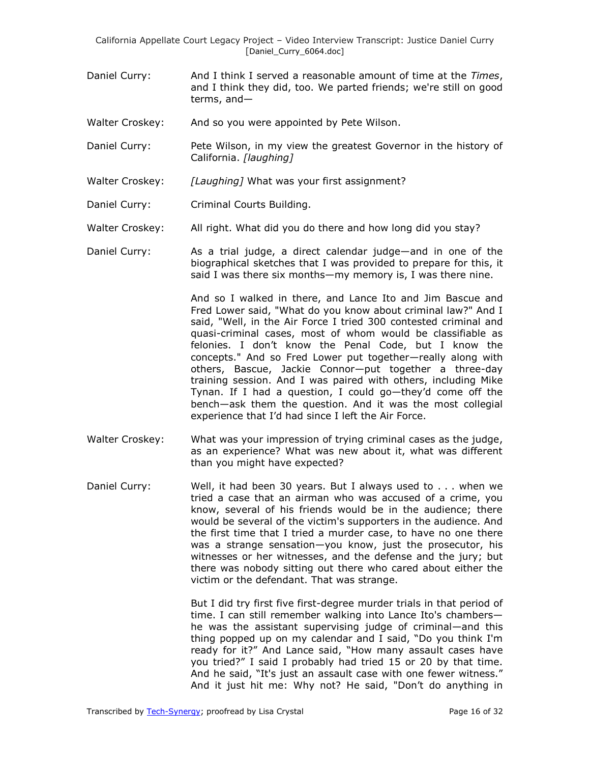California Appellate Court Legacy Project – Video Interview Transcript: Justice Daniel Curry [Daniel\_Curry\_6064.doc]

- Daniel Curry: And I think I served a reasonable amount of time at the *Times*, and I think they did, too. We parted friends; we're still on good terms, and—
- Walter Croskey: And so you were appointed by Pete Wilson.
- Daniel Curry: Pete Wilson, in my view the greatest Governor in the history of California. *[laughing]*
- Walter Croskey: *[Laughing]* What was your first assignment?
- Daniel Curry: Criminal Courts Building.
- Walter Croskey: All right. What did you do there and how long did you stay?
- Daniel Curry: As a trial judge, a direct calendar judge—and in one of the biographical sketches that I was provided to prepare for this, it said I was there six months—my memory is, I was there nine.

And so I walked in there, and Lance Ito and Jim Bascue and Fred Lower said, "What do you know about criminal law?" And I said, "Well, in the Air Force I tried 300 contested criminal and quasi-criminal cases, most of whom would be classifiable as felonies. I don't know the Penal Code, but I know the concepts." And so Fred Lower put together—really along with others, Bascue, Jackie Connor—put together a three-day training session. And I was paired with others, including Mike Tynan. If I had a question, I could go—they'd come off the bench—ask them the question. And it was the most collegial experience that I'd had since I left the Air Force.

- Walter Croskey: What was your impression of trying criminal cases as the judge, as an experience? What was new about it, what was different than you might have expected?
- Daniel Curry: Well, it had been 30 years. But I always used to . . . when we tried a case that an airman who was accused of a crime, you know, several of his friends would be in the audience; there would be several of the victim's supporters in the audience. And the first time that I tried a murder case, to have no one there was a strange sensation—you know, just the prosecutor, his witnesses or her witnesses, and the defense and the jury; but there was nobody sitting out there who cared about either the victim or the defendant. That was strange.

But I did try first five first-degree murder trials in that period of time. I can still remember walking into Lance Ito's chambers he was the assistant supervising judge of criminal—and this thing popped up on my calendar and I said, "Do you think I'm ready for it?" And Lance said, "How many assault cases have you tried?‖ I said I probably had tried 15 or 20 by that time. And he said, "It's just an assault case with one fewer witness." And it just hit me: Why not? He said, "Don't do anything in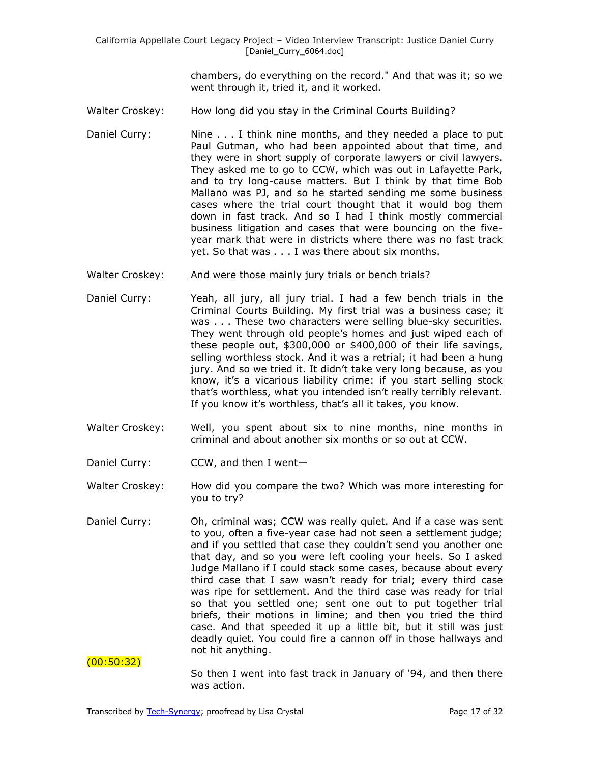chambers, do everything on the record." And that was it; so we went through it, tried it, and it worked.

- Walter Croskey: How long did you stay in the Criminal Courts Building?
- Daniel Curry: Nine . . . I think nine months, and they needed a place to put Paul Gutman, who had been appointed about that time, and they were in short supply of corporate lawyers or civil lawyers. They asked me to go to CCW, which was out in Lafayette Park, and to try long-cause matters. But I think by that time Bob Mallano was PJ, and so he started sending me some business cases where the trial court thought that it would bog them down in fast track. And so I had I think mostly commercial business litigation and cases that were bouncing on the fiveyear mark that were in districts where there was no fast track yet. So that was . . . I was there about six months.
- Walter Croskey: And were those mainly jury trials or bench trials?
- Daniel Curry: Yeah, all jury, all jury trial. I had a few bench trials in the Criminal Courts Building. My first trial was a business case; it was . . . These two characters were selling blue-sky securities. They went through old people's homes and just wiped each of these people out, \$300,000 or \$400,000 of their life savings, selling worthless stock. And it was a retrial; it had been a hung jury. And so we tried it. It didn't take very long because, as you know, it's a vicarious liability crime: if you start selling stock that's worthless, what you intended isn't really terribly relevant. If you know it's worthless, that's all it takes, you know.
- Walter Croskey: Well, you spent about six to nine months, nine months in criminal and about another six months or so out at CCW.
- Daniel Curry: CCW, and then I went-
- Walter Croskey: How did you compare the two? Which was more interesting for you to try?
- Daniel Curry: Oh, criminal was; CCW was really quiet. And if a case was sent to you, often a five-year case had not seen a settlement judge; and if you settled that case they couldn't send you another one that day, and so you were left cooling your heels. So I asked Judge Mallano if I could stack some cases, because about every third case that I saw wasn't ready for trial; every third case was ripe for settlement. And the third case was ready for trial so that you settled one; sent one out to put together trial briefs, their motions in limine; and then you tried the third case. And that speeded it up a little bit, but it still was just deadly quiet. You could fire a cannon off in those hallways and not hit anything.

(00:50:32)

So then I went into fast track in January of '94, and then there was action.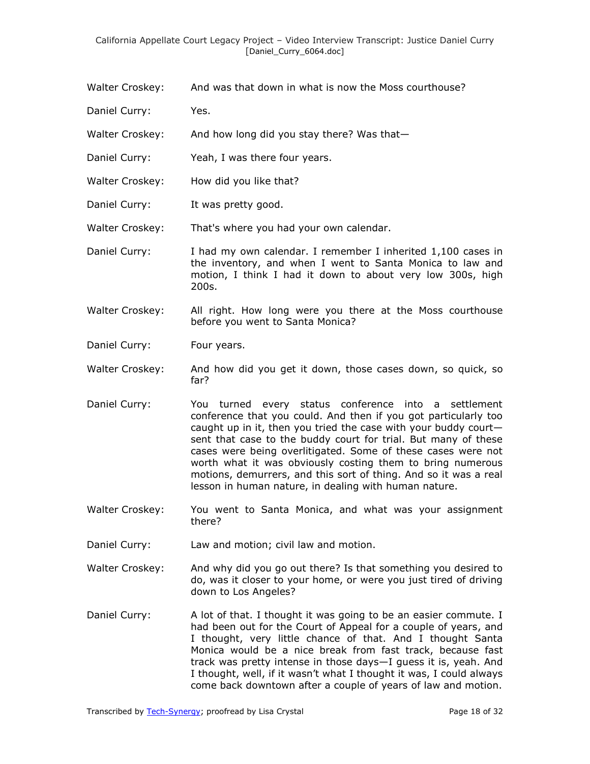- Walter Croskey: And was that down in what is now the Moss courthouse?
- Daniel Curry: Yes.
- Walter Croskey: And how long did you stay there? Was that-
- Daniel Curry: Yeah, I was there four years.
- Walter Croskey: How did you like that?
- Daniel Curry: It was pretty good.

Walter Croskey: That's where you had your own calendar.

- Daniel Curry: I had my own calendar. I remember I inherited 1,100 cases in the inventory, and when I went to Santa Monica to law and motion, I think I had it down to about very low 300s, high 200s.
- Walter Croskey: All right. How long were you there at the Moss courthouse before you went to Santa Monica?
- Daniel Curry: Four years.
- Walter Croskey: And how did you get it down, those cases down, so quick, so far?
- Daniel Curry: You turned every status conference into a settlement conference that you could. And then if you got particularly too caught up in it, then you tried the case with your buddy court sent that case to the buddy court for trial. But many of these cases were being overlitigated. Some of these cases were not worth what it was obviously costing them to bring numerous motions, demurrers, and this sort of thing. And so it was a real lesson in human nature, in dealing with human nature.
- Walter Croskey: You went to Santa Monica, and what was your assignment there?
- Daniel Curry: Law and motion; civil law and motion.
- Walter Croskey: And why did you go out there? Is that something you desired to do, was it closer to your home, or were you just tired of driving down to Los Angeles?
- Daniel Curry: A lot of that. I thought it was going to be an easier commute. I had been out for the Court of Appeal for a couple of years, and I thought, very little chance of that. And I thought Santa Monica would be a nice break from fast track, because fast track was pretty intense in those days—I guess it is, yeah. And I thought, well, if it wasn't what I thought it was, I could always come back downtown after a couple of years of law and motion.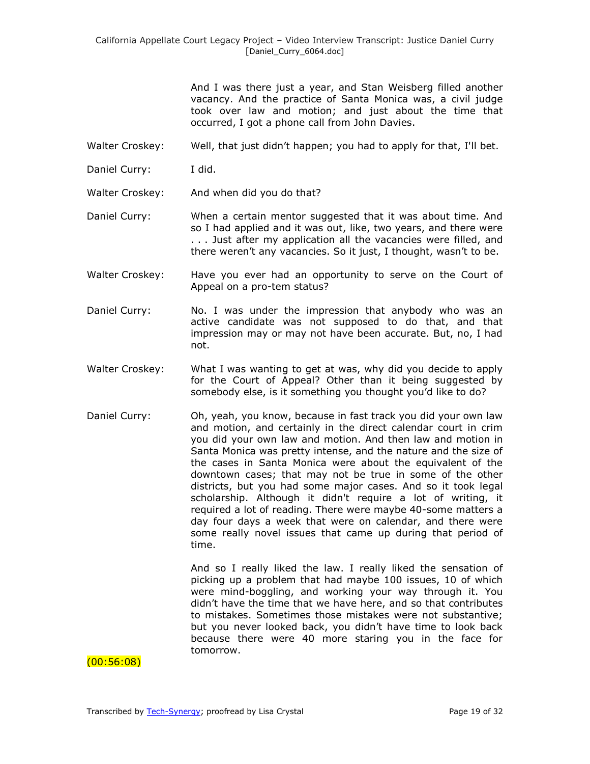And I was there just a year, and Stan Weisberg filled another vacancy. And the practice of Santa Monica was, a civil judge took over law and motion; and just about the time that occurred, I got a phone call from John Davies.

- Walter Croskey: Well, that just didn't happen; you had to apply for that, I'll bet.
- Daniel Curry: I did.
- Walter Croskey: And when did you do that?
- Daniel Curry: When a certain mentor suggested that it was about time. And so I had applied and it was out, like, two years, and there were . . . Just after my application all the vacancies were filled, and there weren't any vacancies. So it just, I thought, wasn't to be.
- Walter Croskey: Have you ever had an opportunity to serve on the Court of Appeal on a pro-tem status?
- Daniel Curry: No. I was under the impression that anybody who was an active candidate was not supposed to do that, and that impression may or may not have been accurate. But, no, I had not.
- Walter Croskey: What I was wanting to get at was, why did you decide to apply for the Court of Appeal? Other than it being suggested by somebody else, is it something you thought you'd like to do?
- Daniel Curry: Oh, yeah, you know, because in fast track you did your own law and motion, and certainly in the direct calendar court in crim you did your own law and motion. And then law and motion in Santa Monica was pretty intense, and the nature and the size of the cases in Santa Monica were about the equivalent of the downtown cases; that may not be true in some of the other districts, but you had some major cases. And so it took legal scholarship. Although it didn't require a lot of writing, it required a lot of reading. There were maybe 40-some matters a day four days a week that were on calendar, and there were some really novel issues that came up during that period of time.

And so I really liked the law. I really liked the sensation of picking up a problem that had maybe 100 issues, 10 of which were mind-boggling, and working your way through it. You didn't have the time that we have here, and so that contributes to mistakes. Sometimes those mistakes were not substantive; but you never looked back, you didn't have time to look back because there were 40 more staring you in the face for tomorrow.

(00:56:08)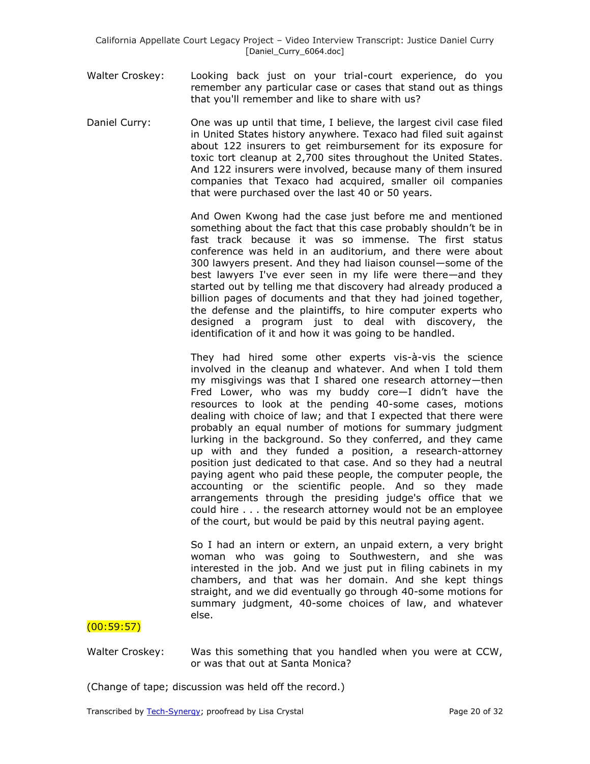- Walter Croskey: Looking back just on your trial-court experience, do you remember any particular case or cases that stand out as things that you'll remember and like to share with us?
- Daniel Curry: One was up until that time, I believe, the largest civil case filed in United States history anywhere. Texaco had filed suit against about 122 insurers to get reimbursement for its exposure for toxic tort cleanup at 2,700 sites throughout the United States. And 122 insurers were involved, because many of them insured companies that Texaco had acquired, smaller oil companies that were purchased over the last 40 or 50 years.

And Owen Kwong had the case just before me and mentioned something about the fact that this case probably shouldn't be in fast track because it was so immense. The first status conference was held in an auditorium, and there were about 300 lawyers present. And they had liaison counsel—some of the best lawyers I've ever seen in my life were there—and they started out by telling me that discovery had already produced a billion pages of documents and that they had joined together, the defense and the plaintiffs, to hire computer experts who designed a program just to deal with discovery, the identification of it and how it was going to be handled.

They had hired some other experts vis-à-vis the science involved in the cleanup and whatever. And when I told them my misgivings was that I shared one research attorney—then Fred Lower, who was my buddy core—I didn't have the resources to look at the pending 40-some cases, motions dealing with choice of law; and that I expected that there were probably an equal number of motions for summary judgment lurking in the background. So they conferred, and they came up with and they funded a position, a research-attorney position just dedicated to that case. And so they had a neutral paying agent who paid these people, the computer people, the accounting or the scientific people. And so they made arrangements through the presiding judge's office that we could hire . . . the research attorney would not be an employee of the court, but would be paid by this neutral paying agent.

So I had an intern or extern, an unpaid extern, a very bright woman who was going to Southwestern, and she was interested in the job. And we just put in filing cabinets in my chambers, and that was her domain. And she kept things straight, and we did eventually go through 40-some motions for summary judgment, 40-some choices of law, and whatever else.

# $(00:59:57)$

Walter Croskey: Was this something that you handled when you were at CCW, or was that out at Santa Monica?

(Change of tape; discussion was held off the record.)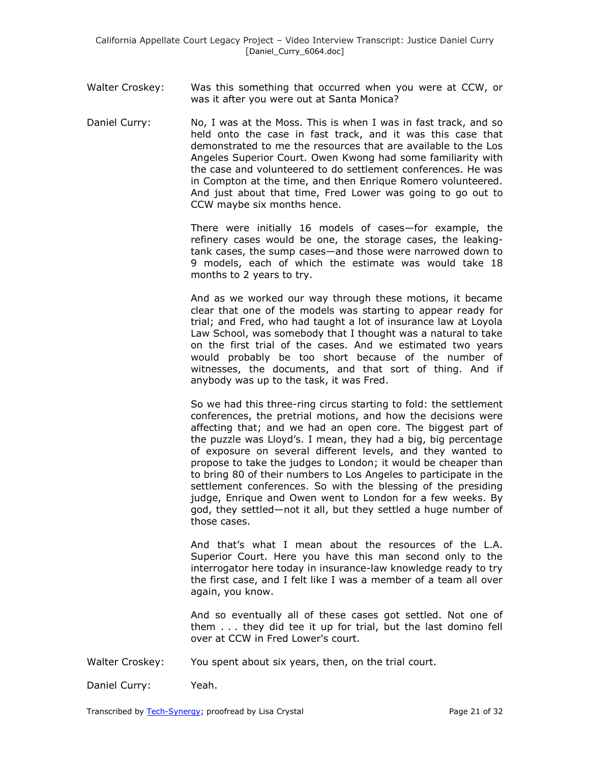- Walter Croskey: Was this something that occurred when you were at CCW, or was it after you were out at Santa Monica?
- Daniel Curry: No, I was at the Moss. This is when I was in fast track, and so held onto the case in fast track, and it was this case that demonstrated to me the resources that are available to the Los Angeles Superior Court. Owen Kwong had some familiarity with the case and volunteered to do settlement conferences. He was in Compton at the time, and then Enrique Romero volunteered. And just about that time, Fred Lower was going to go out to CCW maybe six months hence.

There were initially 16 models of cases—for example, the refinery cases would be one, the storage cases, the leakingtank cases, the sump cases—and those were narrowed down to 9 models, each of which the estimate was would take 18 months to 2 years to try.

And as we worked our way through these motions, it became clear that one of the models was starting to appear ready for trial; and Fred, who had taught a lot of insurance law at Loyola Law School, was somebody that I thought was a natural to take on the first trial of the cases. And we estimated two years would probably be too short because of the number of witnesses, the documents, and that sort of thing. And if anybody was up to the task, it was Fred.

So we had this three-ring circus starting to fold: the settlement conferences, the pretrial motions, and how the decisions were affecting that; and we had an open core. The biggest part of the puzzle was Lloyd's. I mean, they had a big, big percentage of exposure on several different levels, and they wanted to propose to take the judges to London; it would be cheaper than to bring 80 of their numbers to Los Angeles to participate in the settlement conferences. So with the blessing of the presiding judge, Enrique and Owen went to London for a few weeks. By god, they settled—not it all, but they settled a huge number of those cases.

And that's what I mean about the resources of the L.A. Superior Court. Here you have this man second only to the interrogator here today in insurance-law knowledge ready to try the first case, and I felt like I was a member of a team all over again, you know.

And so eventually all of these cases got settled. Not one of them . . . they did tee it up for trial, but the last domino fell over at CCW in Fred Lower's court.

- Walter Croskey: You spent about six years, then, on the trial court.
- Daniel Curry: Yeah.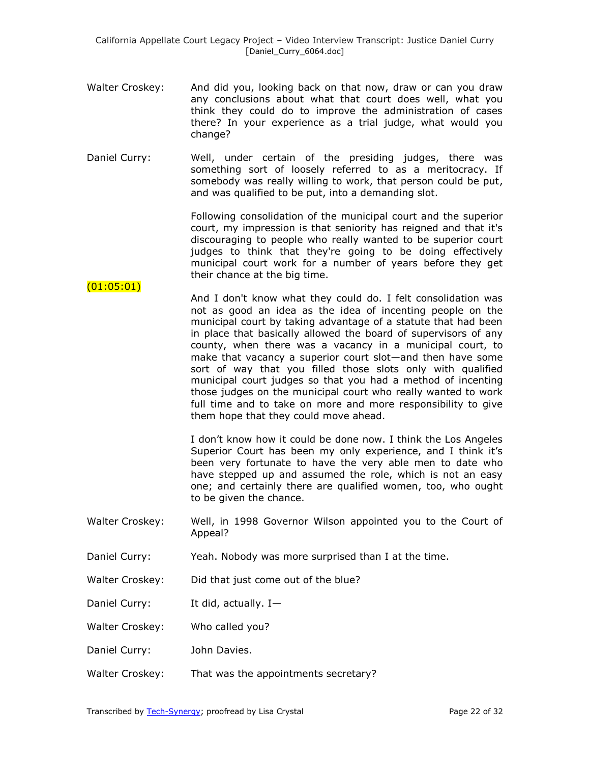- Walter Croskey: And did you, looking back on that now, draw or can you draw any conclusions about what that court does well, what you think they could do to improve the administration of cases there? In your experience as a trial judge, what would you change?
- Daniel Curry: Well, under certain of the presiding judges, there was something sort of loosely referred to as a meritocracy. If somebody was really willing to work, that person could be put, and was qualified to be put, into a demanding slot.

Following consolidation of the municipal court and the superior court, my impression is that seniority has reigned and that it's discouraging to people who really wanted to be superior court judges to think that they're going to be doing effectively municipal court work for a number of years before they get their chance at the big time.

 $(01:05:01)$ And I don't know what they could do. I felt consolidation was not as good an idea as the idea of incenting people on the municipal court by taking advantage of a statute that had been in place that basically allowed the board of supervisors of any county, when there was a vacancy in a municipal court, to make that vacancy a superior court slot—and then have some sort of way that you filled those slots only with qualified municipal court judges so that you had a method of incenting those judges on the municipal court who really wanted to work full time and to take on more and more responsibility to give them hope that they could move ahead.

> I don't know how it could be done now. I think the Los Angeles Superior Court has been my only experience, and I think it's been very fortunate to have the very able men to date who have stepped up and assumed the role, which is not an easy one; and certainly there are qualified women, too, who ought to be given the chance.

- Walter Croskey: Well, in 1998 Governor Wilson appointed you to the Court of Appeal?
- Daniel Curry: Yeah. Nobody was more surprised than I at the time.
- Walter Croskey: Did that just come out of the blue?
- Daniel Curry: It did, actually. I-
- Walter Croskey: Who called you?
- Daniel Curry: John Davies.
- Walter Croskey: That was the appointments secretary?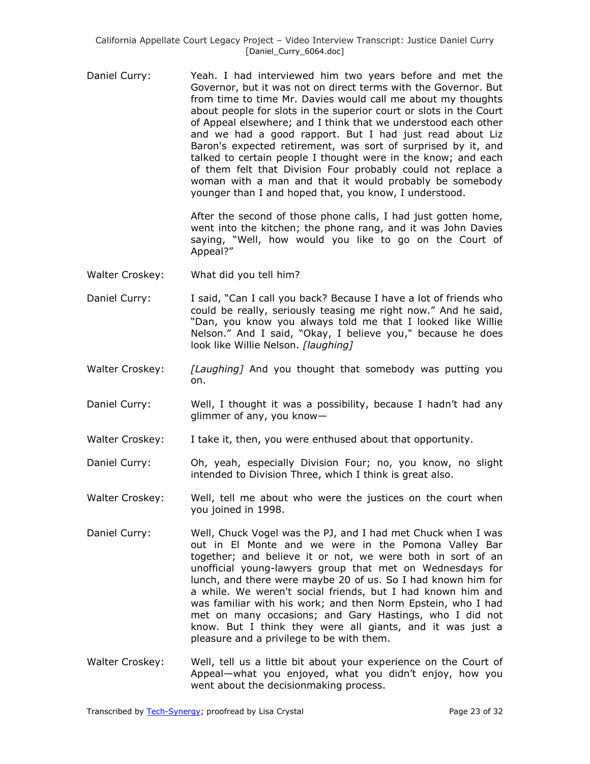Daniel Curry: Yeah. I had interviewed him two years before and met the Governor, but it was not on direct terms with the Governor. But from time to time Mr. Davies would call me about my thoughts about people for slots in the superior court or slots in the Court of Appeal elsewhere; and I think that we understood each other and we had a good rapport. But I had just read about Liz Baron's expected retirement, was sort of surprised by it, and talked to certain people I thought were in the know; and each of them felt that Division Four probably could not replace a woman with a man and that it would probably be somebody younger than I and hoped that, you know, I understood.

> After the second of those phone calls, I had just gotten home, went into the kitchen; the phone rang, and it was John Davies saying, "Well, how would you like to go on the Court of Appeal?"

- Walter Croskey: What did you tell him?
- Daniel Curry: I said, "Can I call you back? Because I have a lot of friends who could be really, seriously teasing me right now." And he said, "Dan, you know you always told me that I looked like Willie Nelson." And I said, "Okay, I believe you," because he does look like Willie Nelson. *[laughing]*
- Walter Croskey: *[Laughing]* And you thought that somebody was putting you on.
- Daniel Curry: Well, I thought it was a possibility, because I hadn't had any glimmer of any, you know—
- Walter Croskey: I take it, then, you were enthused about that opportunity.
- Daniel Curry: Oh, yeah, especially Division Four; no, you know, no slight intended to Division Three, which I think is great also.
- Walter Croskey: Well, tell me about who were the justices on the court when you joined in 1998.
- Daniel Curry: Well, Chuck Vogel was the PJ, and I had met Chuck when I was out in El Monte and we were in the Pomona Valley Bar together; and believe it or not, we were both in sort of an unofficial young-lawyers group that met on Wednesdays for lunch, and there were maybe 20 of us. So I had known him for a while. We weren't social friends, but I had known him and was familiar with his work; and then Norm Epstein, who I had met on many occasions; and Gary Hastings, who I did not know. But I think they were all giants, and it was just a pleasure and a privilege to be with them.
- Walter Croskey: Well, tell us a little bit about your experience on the Court of Appeal—what you enjoyed, what you didn't enjoy, how you went about the decisionmaking process.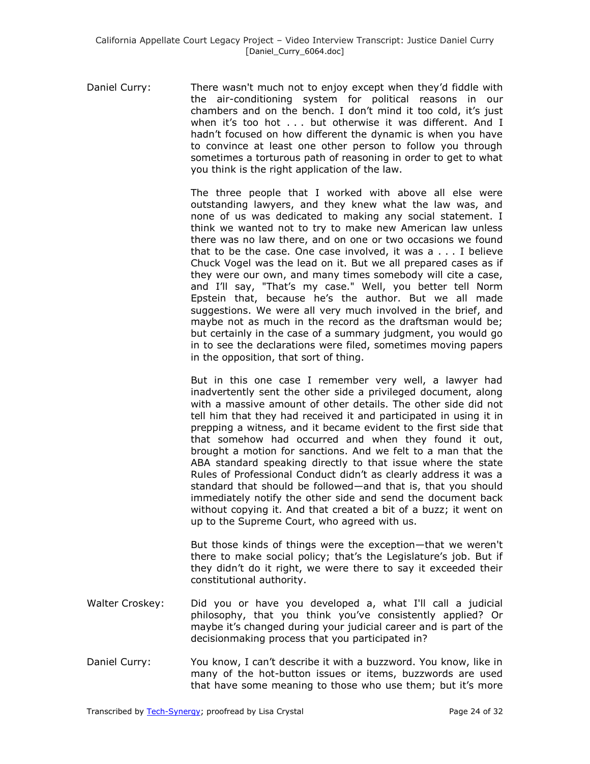Daniel Curry: There wasn't much not to enjoy except when they'd fiddle with the air-conditioning system for political reasons in our chambers and on the bench. I don't mind it too cold, it's just when it's too hot . . . but otherwise it was different. And I hadn't focused on how different the dynamic is when you have to convince at least one other person to follow you through sometimes a torturous path of reasoning in order to get to what you think is the right application of the law.

> The three people that I worked with above all else were outstanding lawyers, and they knew what the law was, and none of us was dedicated to making any social statement. I think we wanted not to try to make new American law unless there was no law there, and on one or two occasions we found that to be the case. One case involved, it was a . . . I believe Chuck Vogel was the lead on it. But we all prepared cases as if they were our own, and many times somebody will cite a case, and I'll say, "That's my case." Well, you better tell Norm Epstein that, because he's the author. But we all made suggestions. We were all very much involved in the brief, and maybe not as much in the record as the draftsman would be; but certainly in the case of a summary judgment, you would go in to see the declarations were filed, sometimes moving papers in the opposition, that sort of thing.

> But in this one case I remember very well, a lawyer had inadvertently sent the other side a privileged document, along with a massive amount of other details. The other side did not tell him that they had received it and participated in using it in prepping a witness, and it became evident to the first side that that somehow had occurred and when they found it out, brought a motion for sanctions. And we felt to a man that the ABA standard speaking directly to that issue where the state Rules of Professional Conduct didn't as clearly address it was a standard that should be followed—and that is, that you should immediately notify the other side and send the document back without copying it. And that created a bit of a buzz; it went on up to the Supreme Court, who agreed with us.

> But those kinds of things were the exception—that we weren't there to make social policy; that's the Legislature's job. But if they didn't do it right, we were there to say it exceeded their constitutional authority.

- Walter Croskey: Did you or have you developed a, what I'll call a judicial philosophy, that you think you've consistently applied? Or maybe it's changed during your judicial career and is part of the decisionmaking process that you participated in?
- Daniel Curry: You know, I can't describe it with a buzzword. You know, like in many of the hot-button issues or items, buzzwords are used that have some meaning to those who use them; but it's more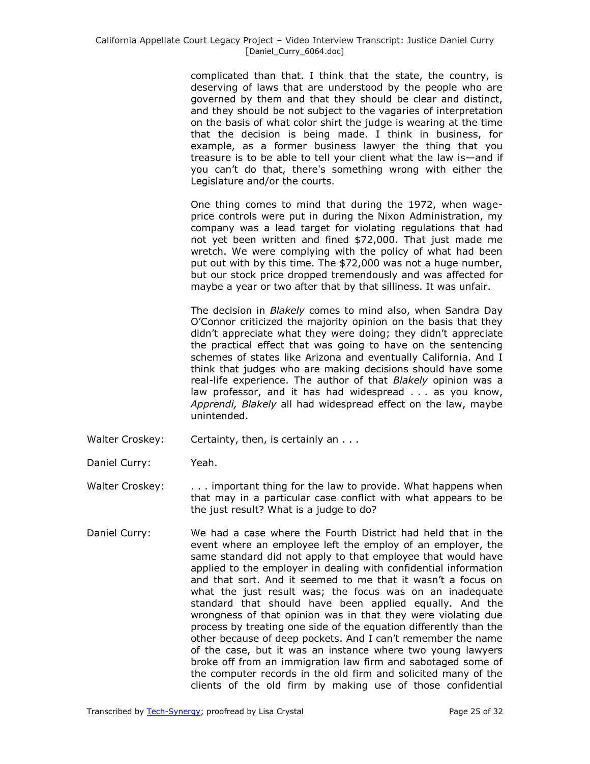complicated than that. I think that the state, the country, is deserving of laws that are understood by the people who are governed by them and that they should be clear and distinct, and they should be not subject to the vagaries of interpretation on the basis of what color shirt the judge is wearing at the time that the decision is being made. I think in business, for example, as a former business lawyer the thing that you treasure is to be able to tell your client what the law is—and if you can't do that, there's something wrong with either the Legislature and/or the courts.

One thing comes to mind that during the 1972, when wageprice controls were put in during the Nixon Administration, my company was a lead target for violating regulations that had not yet been written and fined \$72,000. That just made me wretch. We were complying with the policy of what had been put out with by this time. The \$72,000 was not a huge number, but our stock price dropped tremendously and was affected for maybe a year or two after that by that silliness. It was unfair.

The decision in *Blakely* comes to mind also, when Sandra Day O'Connor criticized the majority opinion on the basis that they didn't appreciate what they were doing; they didn't appreciate the practical effect that was going to have on the sentencing schemes of states like Arizona and eventually California. And I think that judges who are making decisions should have some real-life experience. The author of that *Blakely* opinion was a law professor, and it has had widespread . . . as you know, *Apprendi, Blakely* all had widespread effect on the law, maybe unintended.

- Walter Croskey: Certainty, then, is certainly an . . .
- Daniel Curry: Yeah.
- Walter Croskey: . . . . important thing for the law to provide. What happens when that may in a particular case conflict with what appears to be the just result? What is a judge to do?
- Daniel Curry: We had a case where the Fourth District had held that in the event where an employee left the employ of an employer, the same standard did not apply to that employee that would have applied to the employer in dealing with confidential information and that sort. And it seemed to me that it wasn't a focus on what the just result was; the focus was on an inadequate standard that should have been applied equally. And the wrongness of that opinion was in that they were violating due process by treating one side of the equation differently than the other because of deep pockets. And I can't remember the name of the case, but it was an instance where two young lawyers broke off from an immigration law firm and sabotaged some of the computer records in the old firm and solicited many of the clients of the old firm by making use of those confidential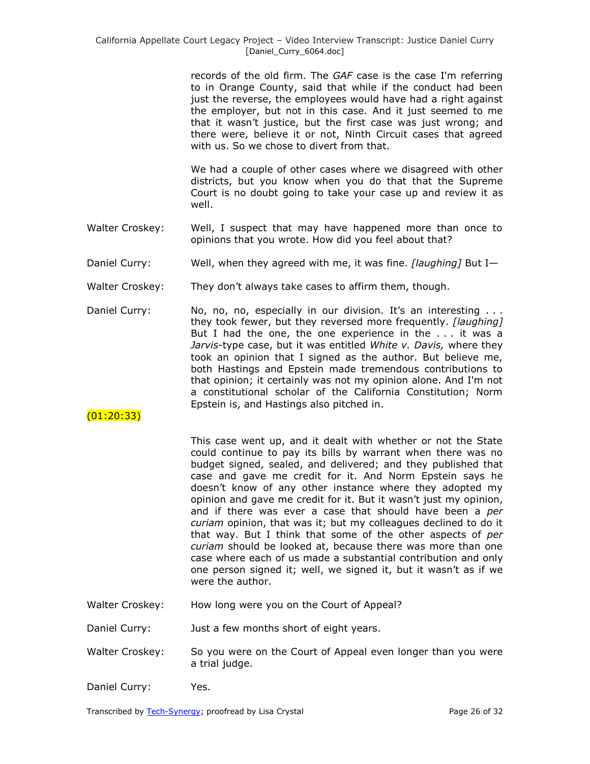records of the old firm. The *GAF* case is the case I'm referring to in Orange County, said that while if the conduct had been just the reverse, the employees would have had a right against the employer, but not in this case. And it just seemed to me that it wasn't justice, but the first case was just wrong; and there were, believe it or not, Ninth Circuit cases that agreed with us. So we chose to divert from that.

We had a couple of other cases where we disagreed with other districts, but you know when you do that that the Supreme Court is no doubt going to take your case up and review it as well.

- Walter Croskey: Well, I suspect that may have happened more than once to opinions that you wrote. How did you feel about that?
- Daniel Curry: Well, when they agreed with me, it was fine. *[laughing]* But I—
- Walter Croskey: They don't always take cases to affirm them, though.
- Daniel Curry: No, no, no, especially in our division. It's an interesting ... they took fewer, but they reversed more frequently. *[laughing]* But I had the one, the one experience in the . . . it was a *Jarvis*-type case, but it was entitled *White v. Davis,* where they took an opinion that I signed as the author. But believe me, both Hastings and Epstein made tremendous contributions to that opinion; it certainly was not my opinion alone. And I'm not a constitutional scholar of the California Constitution; Norm Epstein is, and Hastings also pitched in.

### (01:20:33)

This case went up, and it dealt with whether or not the State could continue to pay its bills by warrant when there was no budget signed, sealed, and delivered; and they published that case and gave me credit for it. And Norm Epstein says he doesn't know of any other instance where they adopted my opinion and gave me credit for it. But it wasn't just my opinion, and if there was ever a case that should have been a *per curiam* opinion, that was it; but my colleagues declined to do it that way. But I think that some of the other aspects of *per curiam* should be looked at, because there was more than one case where each of us made a substantial contribution and only one person signed it; well, we signed it, but it wasn't as if we were the author.

Walter Croskey: How long were you on the Court of Appeal?

Daniel Curry: Just a few months short of eight years.

- Walter Croskey: So you were on the Court of Appeal even longer than you were a trial judge.
- Daniel Curry: Yes.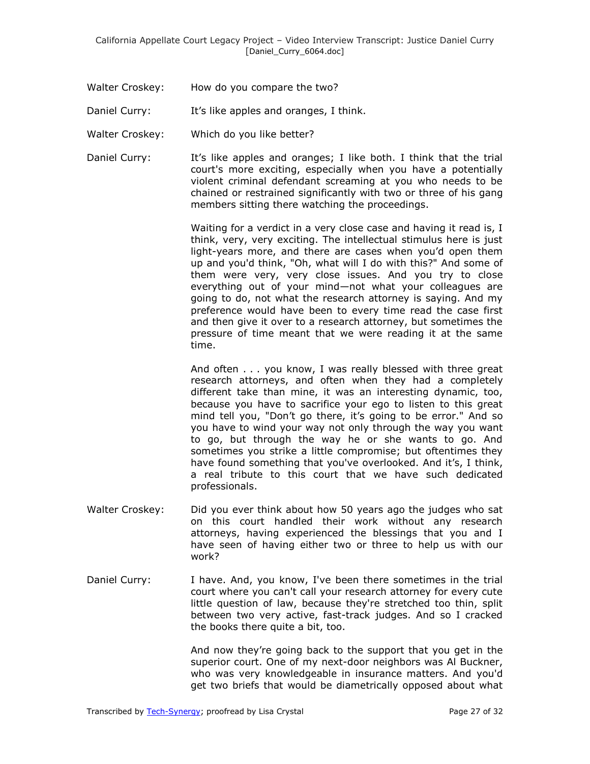- Walter Croskey: How do you compare the two?
- Daniel Curry: It's like apples and oranges, I think.
- Walter Croskey: Which do you like better?
- Daniel Curry: It's like apples and oranges; I like both. I think that the trial court's more exciting, especially when you have a potentially violent criminal defendant screaming at you who needs to be chained or restrained significantly with two or three of his gang members sitting there watching the proceedings.

Waiting for a verdict in a very close case and having it read is, I think, very, very exciting. The intellectual stimulus here is just light-years more, and there are cases when you'd open them up and you'd think, "Oh, what will I do with this?" And some of them were very, very close issues. And you try to close everything out of your mind—not what your colleagues are going to do, not what the research attorney is saying. And my preference would have been to every time read the case first and then give it over to a research attorney, but sometimes the pressure of time meant that we were reading it at the same time.

And often . . . you know, I was really blessed with three great research attorneys, and often when they had a completely different take than mine, it was an interesting dynamic, too, because you have to sacrifice your ego to listen to this great mind tell you, "Don't go there, it's going to be error." And so you have to wind your way not only through the way you want to go, but through the way he or she wants to go. And sometimes you strike a little compromise; but oftentimes they have found something that you've overlooked. And it's, I think, a real tribute to this court that we have such dedicated professionals.

- Walter Croskey: Did you ever think about how 50 years ago the judges who sat on this court handled their work without any research attorneys, having experienced the blessings that you and I have seen of having either two or three to help us with our work?
- Daniel Curry: I have. And, you know, I've been there sometimes in the trial court where you can't call your research attorney for every cute little question of law, because they're stretched too thin, split between two very active, fast-track judges. And so I cracked the books there quite a bit, too.

And now they're going back to the support that you get in the superior court. One of my next-door neighbors was Al Buckner, who was very knowledgeable in insurance matters. And you'd get two briefs that would be diametrically opposed about what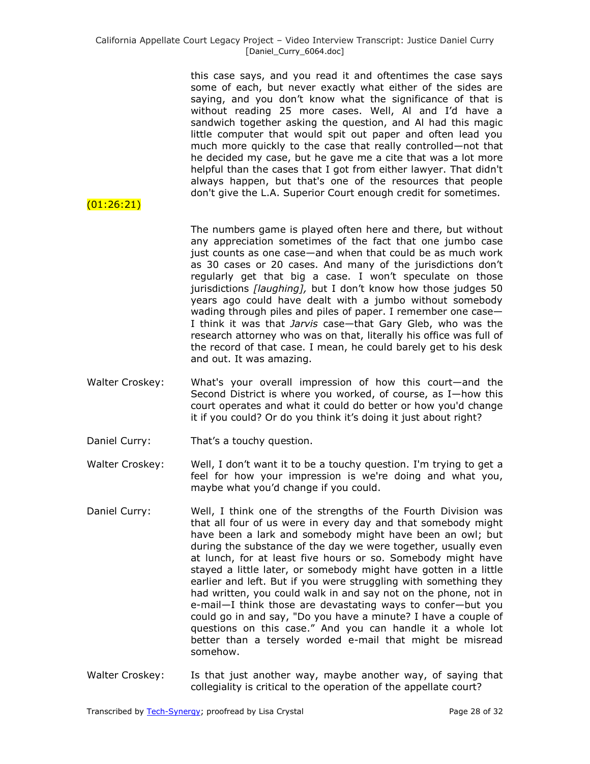this case says, and you read it and oftentimes the case says some of each, but never exactly what either of the sides are saying, and you don't know what the significance of that is without reading 25 more cases. Well, Al and I'd have a sandwich together asking the question, and Al had this magic little computer that would spit out paper and often lead you much more quickly to the case that really controlled—not that he decided my case, but he gave me a cite that was a lot more helpful than the cases that I got from either lawyer. That didn't always happen, but that's one of the resources that people don't give the L.A. Superior Court enough credit for sometimes.

The numbers game is played often here and there, but without any appreciation sometimes of the fact that one jumbo case just counts as one case—and when that could be as much work as 30 cases or 20 cases. And many of the jurisdictions don't regularly get that big a case. I won't speculate on those jurisdictions *[laughing],* but I don't know how those judges 50 years ago could have dealt with a jumbo without somebody wading through piles and piles of paper. I remember one case— I think it was that *Jarvis* case—that Gary Gleb, who was the research attorney who was on that, literally his office was full of the record of that case. I mean, he could barely get to his desk and out. It was amazing.

- Walter Croskey: What's your overall impression of how this court—and the Second District is where you worked, of course, as I—how this court operates and what it could do better or how you'd change it if you could? Or do you think it's doing it just about right?
- Daniel Curry: That's a touchy question.

(01:26:21)

Walter Croskey: Well, I don't want it to be a touchy question. I'm trying to get a feel for how your impression is we're doing and what you, maybe what you'd change if you could.

- Daniel Curry: Well, I think one of the strengths of the Fourth Division was that all four of us were in every day and that somebody might have been a lark and somebody might have been an owl; but during the substance of the day we were together, usually even at lunch, for at least five hours or so. Somebody might have stayed a little later, or somebody might have gotten in a little earlier and left. But if you were struggling with something they had written, you could walk in and say not on the phone, not in e-mail—I think those are devastating ways to confer—but you could go in and say, "Do you have a minute? I have a couple of questions on this case." And you can handle it a whole lot better than a tersely worded e-mail that might be misread somehow.
- Walter Croskey: Is that just another way, maybe another way, of saying that collegiality is critical to the operation of the appellate court?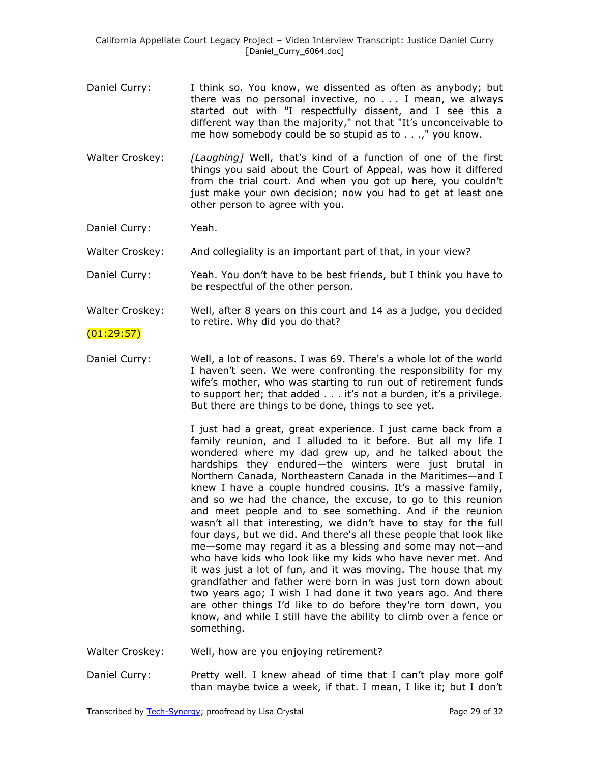- Daniel Curry: I think so. You know, we dissented as often as anybody; but there was no personal invective, no . . . I mean, we always started out with "I respectfully dissent, and I see this a different way than the majority," not that "It's unconceivable to me how somebody could be so stupid as to . . .," you know.
- Walter Croskey: *[Laughing]* Well, that's kind of a function of one of the first things you said about the Court of Appeal, was how it differed from the trial court. And when you got up here, you couldn't just make your own decision; now you had to get at least one other person to agree with you.

Daniel Curry: Yeah.

Walter Croskey: And collegiality is an important part of that, in your view?

Daniel Curry: Yeah. You don't have to be best friends, but I think you have to be respectful of the other person.

Walter Croskey: Well, after 8 years on this court and 14 as a judge, you decided to retire. Why did you do that?

## $(01:29:57)$

Daniel Curry: Well, a lot of reasons. I was 69. There's a whole lot of the world I haven't seen. We were confronting the responsibility for my wife's mother, who was starting to run out of retirement funds to support her; that added . . . it's not a burden, it's a privilege. But there are things to be done, things to see yet.

> I just had a great, great experience. I just came back from a family reunion, and I alluded to it before. But all my life I wondered where my dad grew up, and he talked about the hardships they endured—the winters were just brutal in Northern Canada, Northeastern Canada in the Maritimes—and I knew I have a couple hundred cousins. It's a massive family, and so we had the chance, the excuse, to go to this reunion and meet people and to see something. And if the reunion wasn't all that interesting, we didn't have to stay for the full four days, but we did. And there's all these people that look like me—some may regard it as a blessing and some may not—and who have kids who look like my kids who have never met. And it was just a lot of fun, and it was moving. The house that my grandfather and father were born in was just torn down about two years ago; I wish I had done it two years ago. And there are other things I'd like to do before they're torn down, you know, and while I still have the ability to climb over a fence or something.

- Walter Croskey: Well, how are you enjoying retirement?
- Daniel Curry: Pretty well. I knew ahead of time that I can't play more golf than maybe twice a week, if that. I mean, I like it; but I don't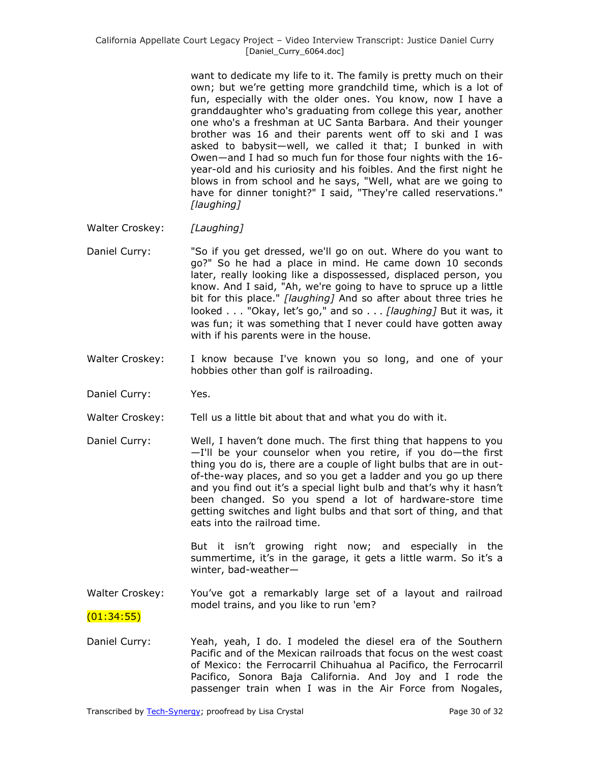want to dedicate my life to it. The family is pretty much on their own; but we're getting more grandchild time, which is a lot of fun, especially with the older ones. You know, now I have a granddaughter who's graduating from college this year, another one who's a freshman at UC Santa Barbara. And their younger brother was 16 and their parents went off to ski and I was asked to babysit—well, we called it that; I bunked in with Owen—and I had so much fun for those four nights with the 16 year-old and his curiosity and his foibles. And the first night he blows in from school and he says, "Well, what are we going to have for dinner tonight?" I said, "They're called reservations." *[laughing]*

- Walter Croskey: *[Laughing]*
- Daniel Curry: "So if you get dressed, we'll go on out. Where do you want to go?" So he had a place in mind. He came down 10 seconds later, really looking like a dispossessed, displaced person, you know. And I said, "Ah, we're going to have to spruce up a little bit for this place." *[laughing]* And so after about three tries he looked . . . "Okay, let's go," and so . . . *[laughing]* But it was, it was fun; it was something that I never could have gotten away with if his parents were in the house.
- Walter Croskey: I know because I've known you so long, and one of your hobbies other than golf is railroading.
- Daniel Curry: Yes.
- Walter Croskey: Tell us a little bit about that and what you do with it.
- Daniel Curry: Well, I haven't done much. The first thing that happens to you —I'll be your counselor when you retire, if you do—the first thing you do is, there are a couple of light bulbs that are in outof-the-way places, and so you get a ladder and you go up there and you find out it's a special light bulb and that's why it hasn't been changed. So you spend a lot of hardware-store time getting switches and light bulbs and that sort of thing, and that eats into the railroad time.

But it isn't growing right now; and especially in the summertime, it's in the garage, it gets a little warm. So it's a winter, bad-weather—

Walter Croskey: You've got a remarkably large set of a layout and railroad model trains, and you like to run 'em?

(01:34:55)

Daniel Curry: Yeah, yeah, I do. I modeled the diesel era of the Southern Pacific and of the Mexican railroads that focus on the west coast of Mexico: the Ferrocarril Chihuahua al Pacifico, the Ferrocarril Pacifico, Sonora Baja California. And Joy and I rode the passenger train when I was in the Air Force from Nogales,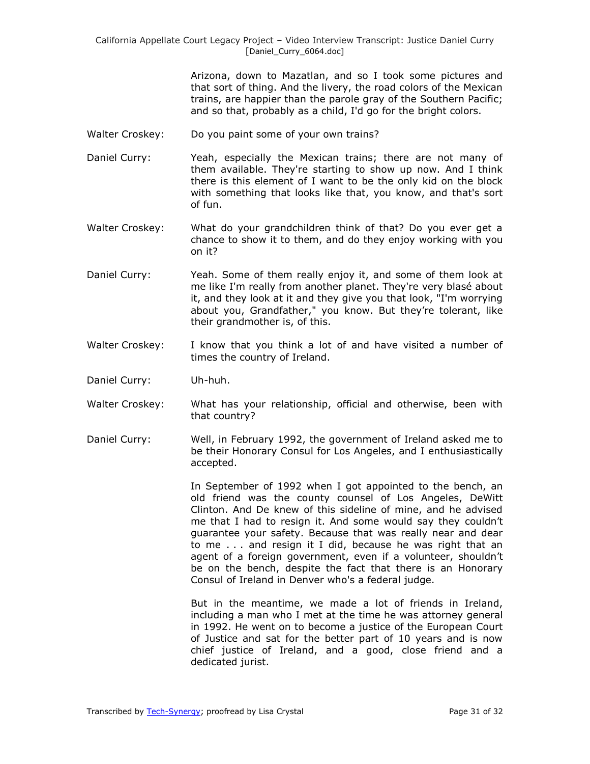Arizona, down to Mazatlan, and so I took some pictures and that sort of thing. And the livery, the road colors of the Mexican trains, are happier than the parole gray of the Southern Pacific; and so that, probably as a child, I'd go for the bright colors.

- Walter Croskey: Do you paint some of your own trains?
- Daniel Curry: Yeah, especially the Mexican trains; there are not many of them available. They're starting to show up now. And I think there is this element of I want to be the only kid on the block with something that looks like that, you know, and that's sort of fun.
- Walter Croskey: What do your grandchildren think of that? Do you ever get a chance to show it to them, and do they enjoy working with you on it?
- Daniel Curry: Yeah. Some of them really enjoy it, and some of them look at me like I'm really from another planet. They're very blasé about it, and they look at it and they give you that look, "I'm worrying about you, Grandfather," you know. But they're tolerant, like their grandmother is, of this.
- Walter Croskey: I know that you think a lot of and have visited a number of times the country of Ireland.
- Daniel Curry: Uh-huh.
- Walter Croskey: What has your relationship, official and otherwise, been with that country?
- Daniel Curry: Well, in February 1992, the government of Ireland asked me to be their Honorary Consul for Los Angeles, and I enthusiastically accepted.

In September of 1992 when I got appointed to the bench, an old friend was the county counsel of Los Angeles, DeWitt Clinton. And De knew of this sideline of mine, and he advised me that I had to resign it. And some would say they couldn't guarantee your safety. Because that was really near and dear to me . . . and resign it I did, because he was right that an agent of a foreign government, even if a volunteer, shouldn't be on the bench, despite the fact that there is an Honorary Consul of Ireland in Denver who's a federal judge.

But in the meantime, we made a lot of friends in Ireland, including a man who I met at the time he was attorney general in 1992. He went on to become a justice of the European Court of Justice and sat for the better part of 10 years and is now chief justice of Ireland, and a good, close friend and a dedicated jurist.